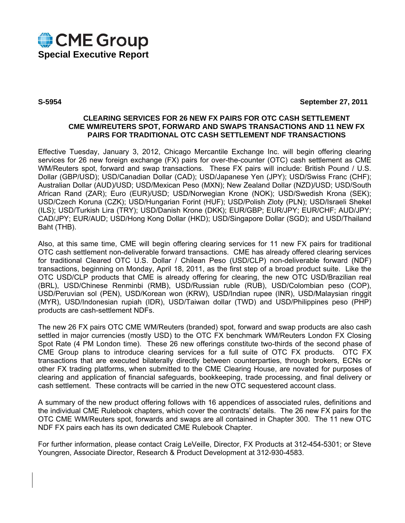

**S-5954 September 27, 2011** 

# **CLEARING SERVICES FOR 26 NEW FX PAIRS FOR OTC CASH SETTLEMENT CME WM/REUTERS SPOT, FORWARD AND SWAPS TRANSACTIONS AND 11 NEW FX PAIRS FOR TRADITIONAL OTC CASH SETTLEMENT NDF TRANSACTIONS**

Effective Tuesday, January 3, 2012, Chicago Mercantile Exchange Inc. will begin offering clearing services for 26 new foreign exchange (FX) pairs for over-the-counter (OTC) cash settlement as CME WM/Reuters spot, forward and swap transactions. These FX pairs will include: British Pound / U.S. Dollar (GBP/USD); USD/Canadian Dollar (CAD); USD/Japanese Yen (JPY); USD/Swiss Franc (CHF); Australian Dollar (AUD)/USD; USD/Mexican Peso (MXN); New Zealand Dollar (NZD)/USD; USD/South African Rand (ZAR); Euro (EUR)/USD; USD/Norwegian Krone (NOK); USD/Swedish Krona (SEK); USD/Czech Koruna (CZK); USD/Hungarian Forint (HUF); USD/Polish Zloty (PLN); USD/Israeli Shekel (ILS); USD/Turkish Lira (TRY); USD/Danish Krone (DKK); EUR/GBP; EUR/JPY; EUR/CHF; AUD/JPY; CAD/JPY; EUR/AUD; USD/Hong Kong Dollar (HKD); USD/Singapore Dollar (SGD); and USD/Thailand Baht (THB).

Also, at this same time, CME will begin offering clearing services for 11 new FX pairs for traditional OTC cash settlement non-deliverable forward transactions. CME has already offered clearing services for traditional Cleared OTC U.S. Dollar / Chilean Peso (USD/CLP) non-deliverable forward (NDF) transactions, beginning on Monday, April 18, 2011, as the first step of a broad product suite. Like the OTC USD/CLP products that CME is already offering for clearing, the new OTC USD/Brazilian real (BRL), USD/Chinese Renminbi (RMB), USD/Russian ruble (RUB), USD/Colombian peso (COP), USD/Peruvian sol (PEN), USD/Korean won (KRW), USD/Indian rupee (INR), USD/Malaysian ringgit (MYR), USD/Indonesian rupiah (IDR), USD/Taiwan dollar (TWD) and USD/Philippines peso (PHP) products are cash-settlement NDFs.

The new 26 FX pairs OTC CME WM/Reuters (branded) spot, forward and swap products are also cash settled in major currencies (mostly USD) to the OTC FX benchmark WM/Reuters London FX Closing Spot Rate (4 PM London time). These 26 new offerings constitute two-thirds of the second phase of CME Group plans to introduce clearing services for a full suite of OTC FX products. OTC FX transactions that are executed bilaterally directly between counterparties, through brokers, ECNs or other FX trading platforms, when submitted to the CME Clearing House, are novated for purposes of clearing and application of financial safeguards, bookkeeping, trade processing, and final delivery or cash settlement. These contracts will be carried in the new OTC sequestered account class.

A summary of the new product offering follows with 16 appendices of associated rules, definitions and the individual CME Rulebook chapters, which cover the contracts' details. The 26 new FX pairs for the OTC CME WM/Reuters spot, forwards and swaps are all contained in Chapter 300. The 11 new OTC NDF FX pairs each has its own dedicated CME Rulebook Chapter.

For further information, please contact Craig LeVeille, Director, FX Products at 312-454-5301; or Steve Youngren, Associate Director, Research & Product Development at 312-930-4583.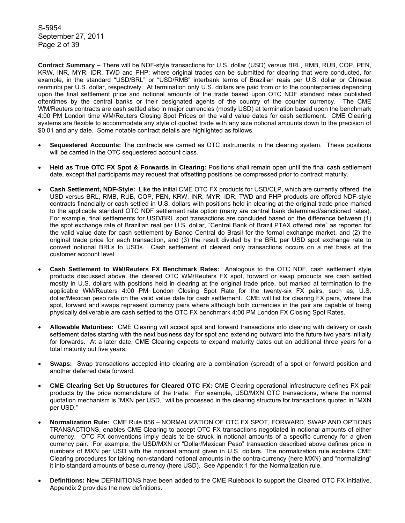S-5954 September 27, 2011 Page 2 of 39

**Contract Summary –** There will be NDF-style transactions for U.S. dollar (USD) versus BRL, RMB, RUB, COP, PEN, KRW, INR, MYR, IDR, TWD and PHP; where original trades can be submitted for clearing that were conducted, for example, in the standard "USD/BRL" or "USD/RMB" interbank terms of Brazilian reais per U.S. dollar or Chinese renminbi per U.S. dollar, respectively. At termination only U.S. dollars are paid from or to the counterparties depending upon the final settlement price and notional amounts of the trade based upon OTC NDF standard rates published oftentimes by the central banks or their designated agents of the country of the counter currency. The CME WM/Reuters contracts are cash settled also in major currencies (mostly USD) at termination based upon the benchmark 4:00 PM London time WM/Reuters Closing Spot Prices on the valid value dates for cash settlement. CME Clearing systems are flexible to accommodate any style of quoted trade with any size notional amounts down to the precision of \$0.01 and any date. Some notable contract details are highlighted as follows.

- **Sequestered Accounts:** The contracts are carried as OTC instruments in the clearing system. These positions will be carried in the OTC sequestered account class.
- **Held as True OTC FX Spot & Forwards in Clearing:** Positions shall remain open until the final cash settlement date, except that participants may request that offsetting positions be compressed prior to contract maturity.
- **Cash Settlement, NDF-Style:** Like the initial CME OTC FX products for USD/CLP, which are currently offered, the USD versus BRL, RMB, RUB, COP, PEN, KRW, INR, MYR, IDR, TWD and PHP products are offered NDF-style contracts financially or cash settled in U.S. dollars with positions held in clearing at the original trade price marked to the applicable standard OTC NDF settlement rate option (many are central bank determined/sanctioned rates). For example, final settlements for USD/BRL spot transactions are concluded based on the difference between (1) the spot exchange rate of Brazilian real per U.S. dollar, "Central Bank of Brazil PTAX offered rate" as reported for the valid value date for cash settlement by Banco Central do Brasil for the formal exchange market, and (2) the original trade price for each transaction, and (3) the result divided by the BRL per USD spot exchange rate to convert notional BRLs to USDs. Cash settlement of cleared only transactions occurs on a net basis at the customer account level.
- **Cash Settlement to WM/Reuters FX Benchmark Rates:** Analogous to the OTC NDF, cash settlement style products discussed above, the cleared OTC WM/Reuters FX spot, forward or swap products are cash settled mostly in U.S. dollars with positions held in clearing at the original trade price, but marked at termination to the applicable WM/Reuters 4:00 PM London Closing Spot Rate for the twenty-six FX pairs, such as, U.S. dollar/Mexican peso rate on the valid value date for cash settlement. CME will list for clearing FX pairs, where the spot, forward and swaps represent currency pairs where although both currencies in the pair are capable of being physically deliverable are cash settled to the OTC FX benchmark 4:00 PM London FX Closing Spot Rates.
- **Allowable Maturities:** CME Clearing will accept spot and forward transactions into clearing with delivery or cash settlement dates starting with the next business day for spot and extending outward into the future two years initially for forwards. At a later date, CME Clearing expects to expand maturity dates out an additional three years for a total maturity out five years.
- **Swaps:** Swap transactions accepted into clearing are a combination (spread) of a spot or forward position and another deferred date forward.
- **CME Clearing Set Up Structures for Cleared OTC FX:** CME Clearing operational infrastructure defines FX pair products by the price nomenclature of the trade. For example, USD/MXN OTC transactions, where the normal quotation mechanism is "MXN per USD," will be processed in the clearing structure for transactions quoted in "MXN per USD."
- **Normalization Rule:** CME Rule 856 NORMALIZATION OF OTC FX SPOT, FORWARD, SWAP AND OPTIONS TRANSACTIONS, enables CME Clearing to accept OTC FX transactions negotiated in notional amounts of either currency. OTC FX conventions imply deals to be struck in notional amounts of a specific currency for a given currency pair. For example, the USD/MXN or "Dollar/Mexican Peso" transaction described above defines price in numbers of MXN per USD with the notional amount given in U.S. dollars. The normalization rule explains CME Clearing procedures for taking non-standard notional amounts in the contra-currency (here MXN) and "normalizing" it into standard amounts of base currency (here USD). See Appendix 1 for the Normalization rule.
- **Definitions:** New DEFINITIONS have been added to the CME Rulebook to support the Cleared OTC FX initiative. Appendix 2 provides the new definitions.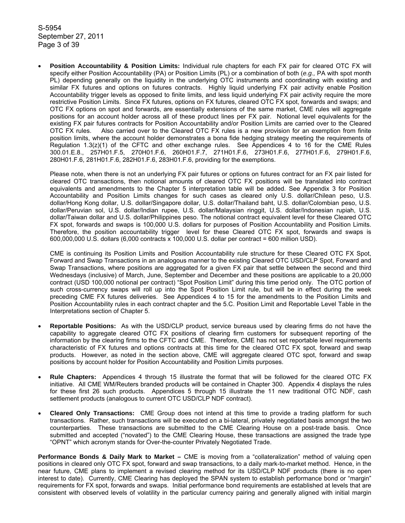S-5954 September 27, 2011 Page 3 of 39

• **Position Accountability & Position Limits:** Individual rule chapters for each FX pair for cleared OTC FX will specify either Position Accountability (PA) or Position Limits (PL) or a combination of both (*e.g.,* PA with spot month PL) depending generally on the liquidity in the underlying OTC instruments and coordinating with existing and similar FX futures and options on futures contracts. Highly liquid underlying FX pair activity enable Position Accountability trigger levels as opposed to finite limits, and less liquid underlying FX pair activity require the more restrictive Position Limits. Since FX futures, options on FX futures, cleared OTC FX spot, forwards and swaps; and OTC FX options on spot and forwards, are essentially extensions of the same market, CME rules will aggregate positions for an account holder across all of these product lines per FX pair. Notional level equivalents for the existing FX pair futures contracts for Position Accountability and/or Position Limits are carried over to the Cleared OTC FX rules. Also carried over to the Cleared OTC FX rules is a new provision for an exemption from finite position limits, where the account holder demonstrates a bona fide hedging strategy meeting the requirements of Regulation  $1.3(z)(1)$  of the CFTC and other exchange rules. See Appendices 4 to 16 for the CME Rules 300.01.E.8., 257H01.F.5, 270H01.F.6, 260H01.F.7, 271H01.F.6, 273H01.F.6, 277H01.F.6, 279H01.F.6, 280H01.F.6, 281H01.F.6, 282H01.F.6, 283H01.F.6, providing for the exemptions.

Please note, when there is not an underlying FX pair futures or options on futures contract for an FX pair listed for cleared OTC transactions, then notional amounts of cleared OTC FX positions will be translated into contract equivalents and amendments to the Chapter 5 interpretation table will be added. See Appendix 3 for Position Accountability and Position Limits changes for such cases as cleared only U.S. dollar/Chilean peso, U.S. dollar/Hong Kong dollar, U.S. dollar/Singapore dollar, U.S. dollar/Thailand baht, U.S. dollar/Colombian peso, U.S. dollar/Peruvian sol, U.S. dollar/Indian rupee, U.S. dollar/Malaysian ringgit, U.S. dollar/Indonesian rupiah, U.S. dollar/Taiwan dollar and U.S. dollar/Philippines peso. The notional contract equivalent level for these Cleared OTC FX spot, forwards and swaps is 100,000 U.S. dollars for purposes of Position Accountability and Position Limits. Therefore, the position accountability trigger level for these Cleared OTC FX spot, forwards and swaps is 600,000,000 U.S. dollars (6,000 contracts x 100,000 U.S. dollar per contract = 600 million USD).

CME is continuing its Position Limits and Position Accountability rule structure for these Cleared OTC FX Spot, Forward and Swap Transactions in an analogous manner to the existing Cleared OTC USD/CLP Spot, Forward and Swap Transactions, where positions are aggregated for a given FX pair that settle between the second and third Wednesdays (inclusive) of March, June, September and December and these positions are applicable to a 20,000 contract (USD 100,000 notional per contract) "Spot Position Limit" during this time period only. The OTC portion of such cross-currency swaps will roll up into the Spot Position Limit rule, but will be in effect during the week preceding CME FX futures deliveries. See Appendices 4 to 15 for the amendments to the Position Limits and Position Accountability rules in each contract chapter and the 5.C. Position Limit and Reportable Level Table in the Interpretations section of Chapter 5.

- **Reportable Positions:** As with the USD/CLP product, service bureaus used by clearing firms do not have the capability to aggregate cleared OTC FX positions of clearing firm customers for subsequent reporting of the information by the clearing firms to the CFTC and CME. Therefore, CME has not set reportable level requirements characteristic of FX futures and options contracts at this time for the cleared OTC FX spot, forward and swap products. However, as noted in the section above, CME will aggregate cleared OTC spot, forward and swap positions by account holder for Position Accountability and Position Limits purposes.
- **Rule Chapters:** Appendices 4 through 15 illustrate the format that will be followed for the cleared OTC FX initiative. All CME WM/Reuters branded products will be contained in Chapter 300. Appendix 4 displays the rules for these first 26 such products. Appendices 5 through 15 illustrate the 11 new traditional OTC NDF, cash settlement products (analogous to current OTC USD/CLP NDF contract).
- **Cleared Only Transactions:** CME Group does not intend at this time to provide a trading platform for such transactions. Rather, such transactions will be executed on a bi-lateral, privately negotiated basis amongst the two counterparties. These transactions are submitted to the CME Clearing House on a post-trade basis. Once submitted and accepted ("novated") to the CME Clearing House, these transactions are assigned the trade type "OPNT" which acronym stands for Over-the-counter Privately Negotiated Trade.

**Performance Bonds & Daily Mark to Market –** CME is moving from a "collateralization" method of valuing open positions in cleared only OTC FX spot, forward and swap transactions, to a daily mark-to-market method. Hence, in the near future, CME plans to implement a revised clearing method for its USD/CLP NDF products (there is no open interest to date). Currently, CME Clearing has deployed the SPAN system to establish performance bond or "margin" requirements for FX spot, forwards and swaps. Initial performance bond requirements are established at levels that are consistent with observed levels of volatility in the particular currency pairing and generally aligned with initial margin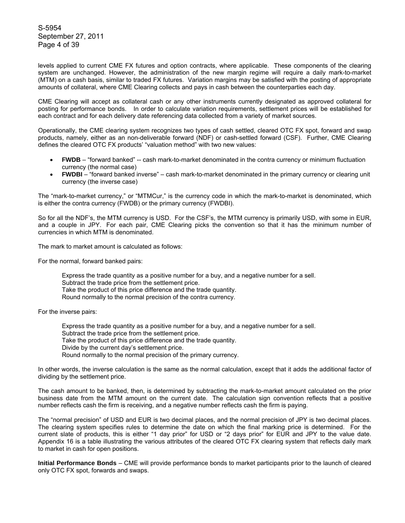S-5954 September 27, 2011 Page 4 of 39

levels applied to current CME FX futures and option contracts, where applicable. These components of the clearing system are unchanged. However, the administration of the new margin regime will require a daily mark-to-market (MTM) on a cash basis, similar to traded FX futures. Variation margins may be satisfied with the posting of appropriate amounts of collateral, where CME Clearing collects and pays in cash between the counterparties each day.

CME Clearing will accept as collateral cash or any other instruments currently designated as approved collateral for posting for performance bonds. In order to calculate variation requirements, settlement prices will be established for each contract and for each delivery date referencing data collected from a variety of market sources.

Operationally, the CME clearing system recognizes two types of cash settled, cleared OTC FX spot, forward and swap products, namely, either as an non-deliverable forward (NDF) or cash-settled forward (CSF). Further, CME Clearing defines the cleared OTC FX products' "valuation method" with two new values:

- **FWDB** "forward banked" -- cash mark-to-market denominated in the contra currency or minimum fluctuation currency (the normal case)
- **FWDBI** "forward banked inverse" cash mark-to-market denominated in the primary currency or clearing unit currency (the inverse case)

The "mark-to-market currency," or "MTMCur," is the currency code in which the mark-to-market is denominated, which is either the contra currency (FWDB) or the primary currency (FWDBI).

So for all the NDF's, the MTM currency is USD. For the CSF's, the MTM currency is primarily USD, with some in EUR, and a couple in JPY. For each pair, CME Clearing picks the convention so that it has the minimum number of currencies in which MTM is denominated.

The mark to market amount is calculated as follows:

For the normal, forward banked pairs:

Express the trade quantity as a positive number for a buy, and a negative number for a sell. Subtract the trade price from the settlement price. Take the product of this price difference and the trade quantity. Round normally to the normal precision of the contra currency.

For the inverse pairs:

Express the trade quantity as a positive number for a buy, and a negative number for a sell. Subtract the trade price from the settlement price. Take the product of this price difference and the trade quantity. Divide by the current day's settlement price. Round normally to the normal precision of the primary currency.

In other words, the inverse calculation is the same as the normal calculation, except that it adds the additional factor of dividing by the settlement price.

The cash amount to be banked, then, is determined by subtracting the mark-to-market amount calculated on the prior business date from the MTM amount on the current date. The calculation sign convention reflects that a positive number reflects cash the firm is receiving, and a negative number reflects cash the firm is paying.

The "normal precision" of USD and EUR is two decimal places, and the normal precision of JPY is two decimal places. The clearing system specifies rules to determine the date on which the final marking price is determined. For the current slate of products, this is either "1 day prior" for USD or "2 days prior" for EUR and JPY to the value date. Appendix 16 is a table illustrating the various attributes of the cleared OTC FX clearing system that reflects daily mark to market in cash for open positions.

**Initial Performance Bonds** – CME will provide performance bonds to market participants prior to the launch of cleared only OTC FX spot, forwards and swaps.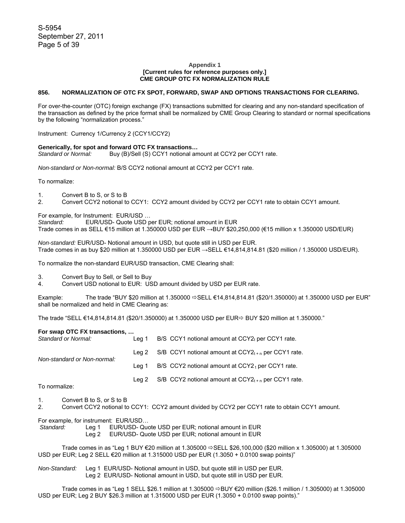### **Appendix 1 [Current rules for reference purposes only.] CME GROUP OTC FX NORMALIZATION RULE**

### **856. NORMALIZATION OF OTC FX SPOT, FORWARD, SWAP AND OPTIONS TRANSACTIONS FOR CLEARING.**

For over-the-counter (OTC) foreign exchange (FX) transactions submitted for clearing and any non-standard specification of the transaction as defined by the price format shall be normalized by CME Group Clearing to standard or normal specifications by the following "normalization process."

Instrument: Currency 1/Currency 2 (CCY1/CCY2)

### **Generically, for spot and forward OTC FX transactions…**

Standard or Normal: **Buy (B)/Sell (S) CCY1 notional amount at CCY2 per CCY1 rate.** 

*Non-standard or Non-normal:* B/S CCY2 notional amount at CCY2 per CCY1 rate.

To normalize:

- 1. Convert B to S, or S to B
- 2. Convert CCY2 notional to CCY1: CCY2 amount divided by CCY2 per CCY1 rate to obtain CCY1 amount.

For example, for Instrument: EUR/USD …

*Standard:* EUR/USD- Quote USD per EUR; notional amount in EUR Trade comes in as SELL €15 million at 1.350000 USD per EUR →BUY \$20,250,000 (€15 million x 1.350000 USD/EUR)

*Non-standard:* EUR/USD- Notional amount in USD, but quote still in USD per EUR. Trade comes in as buy \$20 million at 1.350000 USD per EUR →SELL €14,814,814.81 (\$20 million / 1.350000 USD/EUR).

To normalize the non-standard EUR/USD transaction, CME Clearing shall:

3. Convert Buy to Sell, or Sell to Buy

4. Convert USD notional to EUR: USD amount divided by USD per EUR rate.

Example: The trade "BUY \$20 million at 1.350000  $\Leftrightarrow$  SELL €14,814.814.81 (\$20/1.350000) at 1.350000 USD per EUR" shall be normalized and held in CME Clearing as:

The trade "SELL €14,814,814.81 (\$20/1.350000) at 1.350000 USD per EUR $\Leftrightarrow$  BUY \$20 million at 1.350000."

#### **For swap OTC FX transactions, …**

| Lea 1 | B/S CCY1 notional amount at CCY2t per CCY1 rate.              |
|-------|---------------------------------------------------------------|
|       | Leg 2 S/B CCY1 notional amount at $CCY2_{t+n}$ per CCY1 rate. |
| Lea 1 | B/S $CCY2$ notional amount at $CCY2t$ per $CCY1$ rate.        |
|       | S/B CCY2 notional amount at $CCY2_{t+n}$ per CCY1 rate.       |
|       | Lea 2                                                         |

To normalize:

1. Convert B to S, or S to B

2. Convert CCY2 notional to CCY1: CCY2 amount divided by CCY2 per CCY1 rate to obtain CCY1 amount.

For example, for instrument: EUR/USD…

 *Standard:* Leg 1 EUR/USD- Quote USD per EUR; notional amount in EUR

Leg 2 EUR/USD- Quote USD per EUR; notional amount in EUR

Trade comes in as "Leg 1 BUY €20 million at 1.305000  $\Leftrightarrow$  SELL \$26,100,000 (\$20 million x 1.305000) at 1.305000 USD per EUR; Leg 2 SELL €20 million at 1.315000 USD per EUR (1.3050 + 0.0100 swap points)"

*Non-Standard:* Leg 1 EUR/USD- Notional amount in USD, but quote still in USD per EUR. Leg 2 EUR/USD- Notional amount in USD, but quote still in USD per EUR.

Trade comes in as "Leg 1 SELL \$26.1 million at 1.305000  $\Rightarrow$  BUY €20 million (\$26.1 million / 1.305000) at 1.305000 USD per EUR; Leg 2 BUY \$26.3 million at 1.315000 USD per EUR (1.3050 + 0.0100 swap points)."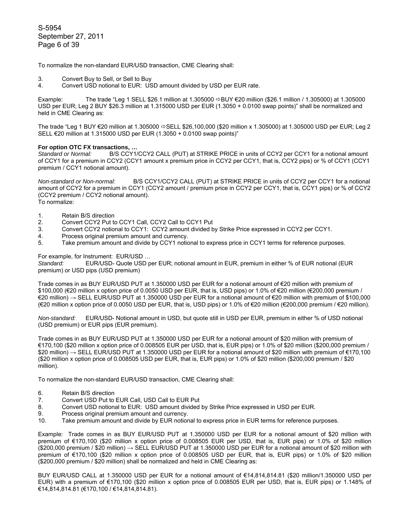S-5954 September 27, 2011 Page 6 of 39

To normalize the non-standard EUR/USD transaction, CME Clearing shall:

- 3. Convert Buy to Sell, or Sell to Buy
- 4. Convert USD notional to EUR: USD amount divided by USD per EUR rate.

Example: The trade "Leg 1 SELL \$26.1 million at 1.305000  $\Rightarrow$  BUY  $\epsilon$ 20 million (\$26.1 million / 1.305000) at 1.305000 USD per EUR; Leg 2 BUY \$26.3 million at 1.315000 USD per EUR (1.3050 + 0.0100 swap points)" shall be normalized and held in CME Clearing as:

The trade "Leg 1 BUY €20 million at 1.305000  $\Rightarrow$  SELL \$26,100,000 (\$20 million x 1.305000) at 1.305000 USD per EUR; Leg 2 SELL €20 million at 1.315000 USD per EUR (1.3050 + 0.0100 swap points)"

## **For option OTC FX transactions, …**

*Standard or Normal:* B/S CCY1/CCY2 CALL (PUT) at STRIKE PRICE in units of CCY2 per CCY1 for a notional amount of CCY1 for a premium in CCY2 (CCY1 amount x premium price in CCY2 per CCY1, that is, CCY2 pips) or % of CCY1 (CCY1 premium / CCY1 notional amount).

*Non-standard or Non-normal:* B/S CCY1/CCY2 CALL (PUT) at STRIKE PRICE in units of CCY2 per CCY1 for a notional amount of CCY2 for a premium in CCY1 (CCY2 amount / premium price in CCY2 per CCY1, that is, CCY1 pips) or % of CCY2 (CCY2 premium / CCY2 notional amount). To normalize:

- 1. Retain B/S direction
- 2. Convert CCY2 Put to CCY1 Call, CCY2 Call to CCY1 Put
- 3. Convert CCY2 notional to CCY1: CCY2 amount divided by Strike Price expressed in CCY2 per CCY1.
- 4. Process original premium amount and currency.<br>5. Take premium amount and divide by CCY1 notic
- Take premium amount and divide by CCY1 notional to express price in CCY1 terms for reference purposes.

For example, for Instrument: EUR/USD …

*Standard:* EUR/USD- Quote USD per EUR; notional amount in EUR, premium in either % of EUR notional (EUR premium) or USD pips (USD premium)

Trade comes in as BUY EUR/USD PUT at 1.350000 USD per EUR for a notional amount of €20 million with premium of \$100,000 (€20 million x option price of 0.0050 USD per EUR, that is, USD pips) or 1.0% of €20 million (€200,000 premium / €20 million) → SELL EUR/USD PUT at 1.350000 USD per EUR for a notional amount of €20 million with premium of \$100,000 (€20 million x option price of 0.0050 USD per EUR, that is, USD pips) or 1.0% of €20 million (€200,000 premium / €20 million).

*Non-standard:* EUR/USD- Notional amount in USD, but quote still in USD per EUR, premium in either % of USD notional (USD premium) or EUR pips (EUR premium).

Trade comes in as BUY EUR/USD PUT at 1.350000 USD per EUR for a notional amount of \$20 million with premium of €170,100 (\$20 million x option price of 0.008505 EUR per USD, that is, EUR pips) or 1.0% of \$20 million (\$200,000 premium / \$20 million) → SELL EUR/USD PUT at 1.350000 USD per EUR for a notional amount of \$20 million with premium of €170,100 (\$20 million x option price of 0.008505 USD per EUR, that is, EUR pips) or 1.0% of \$20 million (\$200,000 premium / \$20 million).

To normalize the non-standard EUR/USD transaction, CME Clearing shall:

- 6. Retain B/S direction<br>7. Convert USD Put to
- 7. Convert USD Put to EUR Call, USD Call to EUR Put 8. Convert USD notional to EUR: USD amount divided
- 8. Convert USD notional to EUR: USD amount divided by Strike Price expressed in USD per EUR.
- 9. Process original premium amount and currency.
- 10. Take premium amount and divide by EUR notional to express price in EUR terms for reference purposes.

Example: Trade comes in as BUY EUR/USD PUT at 1.350000 USD per EUR for a notional amount of \$20 million with premium of €170,100 (\$20 million x option price of 0.008505 EUR per USD, that is, EUR pips) or 1.0% of \$20 million  $($ \$200,000 premium / \$20 million)  $\rightarrow$  SELL EUR/USD PUT at 1.350000 USD per EUR for a notional amount of \$20 million with premium of €170,100 (\$20 million x option price of 0.008505 USD per EUR, that is, EUR pips) or 1.0% of \$20 million (\$200,000 premium / \$20 million) shall be normalized and held in CME Clearing as:

BUY EUR/USD CALL at 1.350000 USD per EUR for a notional amount of €14,814,814.81 (\$20 million/1.350000 USD per EUR) with a premium of €170,100 (\$20 million x option price of 0.008505 EUR per USD, that is, EUR pips) or 1.148% of €14,814,814.81 (€170,100 / €14,814,814.81).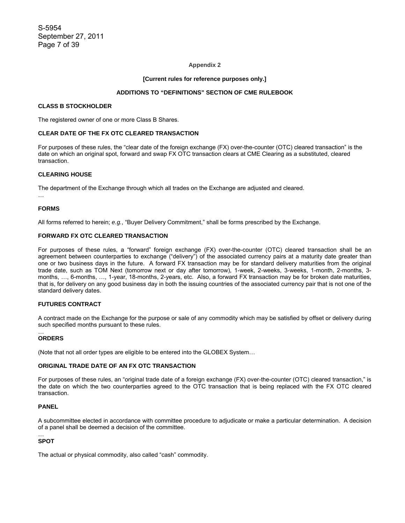### **Appendix 2**

### **[Current rules for reference purposes only.]**

### **ADDITIONS TO "DEFINITIONS" SECTION OF CME RULEBOOK**

### **CLASS B STOCKHOLDER**

The registered owner of one or more Class B Shares.

### **CLEAR DATE OF THE FX OTC CLEARED TRANSACTION**

For purposes of these rules, the "clear date of the foreign exchange (FX) over-the-counter (OTC) cleared transaction" is the date on which an original spot, forward and swap FX OTC transaction clears at CME Clearing as a substituted, cleared transaction.

## **CLEARING HOUSE**

The department of the Exchange through which all trades on the Exchange are adjusted and cleared.

…

### **FORMS**

All forms referred to herein; *e.g.*, "Buyer Delivery Commitment," shall be forms prescribed by the Exchange.

### **FORWARD FX OTC CLEARED TRANSACTION**

For purposes of these rules, a "forward" foreign exchange (FX) over-the-counter (OTC) cleared transaction shall be an agreement between counterparties to exchange ("delivery") of the associated currency pairs at a maturity date greater than one or two business days in the future. A forward FX transaction may be for standard delivery maturities from the original trade date, such as TOM Next (tomorrow next or day after tomorrow), 1-week, 2-weeks, 3-weeks, 1-month, 2-months, 3 months, …, 6-months, …, 1-year, 18-months, 2-years, etc. Also, a forward FX transaction may be for broken date maturities, that is, for delivery on any good business day in both the issuing countries of the associated currency pair that is not one of the standard delivery dates.

# **FUTURES CONTRACT**

A contract made on the Exchange for the purpose or sale of any commodity which may be satisfied by offset or delivery during such specified months pursuant to these rules.

#### … **ORDERS**

(Note that not all order types are eligible to be entered into the GLOBEX System…

## **ORIGINAL TRADE DATE OF AN FX OTC TRANSACTION**

For purposes of these rules, an "original trade date of a foreign exchange (FX) over-the-counter (OTC) cleared transaction," is the date on which the two counterparties agreed to the OTC transaction that is being replaced with the FX OTC cleared transaction.

# **PANEL**

A subcommittee elected in accordance with committee procedure to adjudicate or make a particular determination. A decision of a panel shall be deemed a decision of the committee.

#### … **SPOT**

The actual or physical commodity, also called "cash" commodity.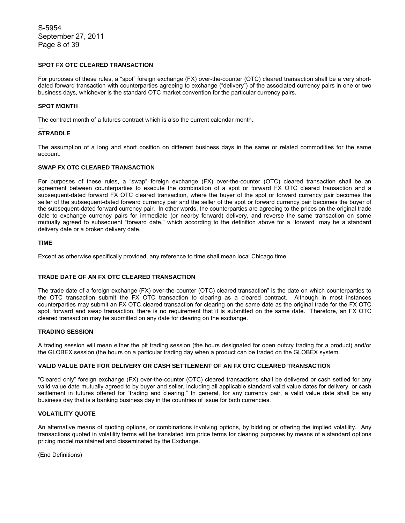S-5954 September 27, 2011 Page 8 of 39

# **SPOT FX OTC CLEARED TRANSACTION**

For purposes of these rules, a "spot" foreign exchange (FX) over-the-counter (OTC) cleared transaction shall be a very shortdated forward transaction with counterparties agreeing to exchange ("delivery") of the associated currency pairs in one or two business days, whichever is the standard OTC market convention for the particular currency pairs.

### **SPOT MONTH**

The contract month of a futures contract which is also the current calendar month.

#### … **STRADDLE**

The assumption of a long and short position on different business days in the same or related commodities for the same account.

### **SWAP FX OTC CLEARED TRANSACTION**

For purposes of these rules, a "swap" foreign exchange (FX) over-the-counter (OTC) cleared transaction shall be an agreement between counterparties to execute the combination of a spot or forward FX OTC cleared transaction and a subsequent-dated forward FX OTC cleared transaction, where the buyer of the spot or forward currency pair becomes the seller of the subsequent-dated forward currency pair and the seller of the spot or forward currency pair becomes the buyer of the subsequent-dated forward currency pair. In other words, the counterparties are agreeing to the prices on the original trade date to exchange currency pairs for immediate (or nearby forward) delivery, and reverse the same transaction on some mutually agreed to subsequent "forward date," which according to the definition above for a "forward" may be a standard delivery date or a broken delivery date.

### **TIME**

Except as otherwise specifically provided, any reference to time shall mean local Chicago time.

…

## **TRADE DATE OF AN FX OTC CLEARED TRANSACTION**

The trade date of a foreign exchange (FX) over-the-counter (OTC) cleared transaction" is the date on which counterparties to the OTC transaction submit the FX OTC transaction to clearing as a cleared contract. Although in most instances counterparties may submit an FX OTC cleared transaction for clearing on the same date as the original trade for the FX OTC spot, forward and swap transaction, there is no requirement that it is submitted on the same date. Therefore, an FX OTC cleared transaction may be submitted on any date for clearing on the exchange.

#### **TRADING SESSION**

A trading session will mean either the pit trading session (the hours designated for open outcry trading for a product) and/or the GLOBEX session (the hours on a particular trading day when a product can be traded on the GLOBEX system.

#### **VALID VALUE DATE FOR DELIVERY OR CASH SETTLEMENT OF AN FX OTC CLEARED TRANSACTION**

"Cleared only" foreign exchange (FX) over-the-counter (OTC) cleared transactions shall be delivered or cash settled for any valid value date mutually agreed to by buyer and seller, including all applicable standard valid value dates for delivery or cash settlement in futures offered for "trading and clearing." In general, for any currency pair, a valid value date shall be any business day that is a banking business day in the countries of issue for both currencies.

# **VOLATILITY QUOTE**

An alternative means of quoting options, or combinations involving options, by bidding or offering the implied volatility. Any transactions quoted in volatility terms will be translated into price terms for clearing purposes by means of a standard options pricing model maintained and disseminated by the Exchange.

(End Definitions)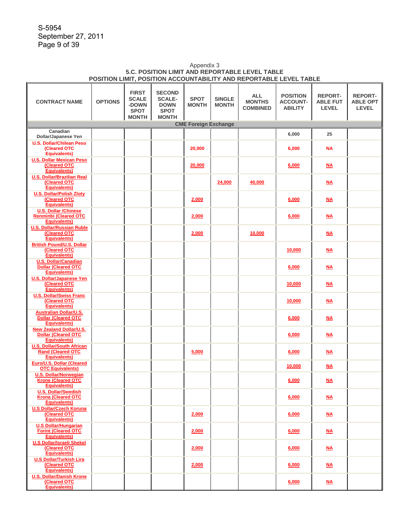S-5954 September 27, 2011 Page 9 of 39

### Appendix 3 **5.C. POSITION LIMIT AND REPORTABLE LEVEL TABLE POSITION LIMIT, POSITION ACCOUNTABILITY AND REPORTABLE LEVEL TABLE**

| <b>CONTRACT NAME</b>                                                                | <b>OPTIONS</b> | <b>FIRST</b><br><b>SCALE</b><br>-DOWN<br><b>SPOT</b><br><b>MONTH</b> | <b>SECOND</b><br><b>SCALE-</b><br><b>DOWN</b><br><b>SPOT</b><br><b>MONTH</b> | <b>SPOT</b><br><b>MONTH</b> | <b>SINGLE</b><br><b>MONTH</b> | <b>ALL</b><br><b>MONTHS</b><br><b>COMBINED</b> | <b>POSITION</b><br><b>ACCOUNT-</b><br><b>ABILITY</b> | <b>REPORT-</b><br><b>ABLE FUT</b><br><b>LEVEL</b> | <b>REPORT-</b><br><b>ABLE OPT</b><br><b>LEVEL</b> |  |  |  |
|-------------------------------------------------------------------------------------|----------------|----------------------------------------------------------------------|------------------------------------------------------------------------------|-----------------------------|-------------------------------|------------------------------------------------|------------------------------------------------------|---------------------------------------------------|---------------------------------------------------|--|--|--|
| <b>CME Foreign Exchange</b><br>Canadian                                             |                |                                                                      |                                                                              |                             |                               |                                                |                                                      |                                                   |                                                   |  |  |  |
| Dollar/Japanese Yen                                                                 |                |                                                                      |                                                                              |                             |                               |                                                | 6,000                                                | 25                                                |                                                   |  |  |  |
| <b>U.S. Dollar/Chilean Peso</b>                                                     |                |                                                                      |                                                                              |                             |                               |                                                |                                                      |                                                   |                                                   |  |  |  |
| (Cleared OTC<br><b>Equivalents)</b>                                                 |                |                                                                      |                                                                              | 20,000                      |                               |                                                | 6,000                                                | <b>NA</b>                                         |                                                   |  |  |  |
| <b>U.S. Dollar Mexican Peso</b><br>(Cleared OTC<br><b>Equivalents</b> )             |                |                                                                      |                                                                              | 20,000                      |                               |                                                | 6,000                                                | <u>NA</u>                                         |                                                   |  |  |  |
| <b>U.S. Dollar/Brazilian Real</b><br>(Cleared OTC<br><b>Equivalents)</b>            |                |                                                                      |                                                                              |                             | 24,000                        | 40,000                                         |                                                      | M                                                 |                                                   |  |  |  |
| <b>U.S. Dollar/Polish Zloty</b><br>(Cleared OTC                                     |                |                                                                      |                                                                              | 2,000                       |                               |                                                | 6,000                                                | M                                                 |                                                   |  |  |  |
| <b>Equivalents)</b><br><b>U.S. Dollar /Chinese</b><br><b>Renminbi (Cleared OTC</b>  |                |                                                                      |                                                                              | 2,000                       |                               |                                                | 6,000                                                | <b>NA</b>                                         |                                                   |  |  |  |
| <b>Equivalents)</b><br><b>U.S. Dollar/Russian Ruble</b>                             |                |                                                                      |                                                                              |                             |                               |                                                |                                                      |                                                   |                                                   |  |  |  |
| (Cleared OTC<br><b>Equivalents</b> )                                                |                |                                                                      |                                                                              | 2,000                       |                               | 10,000                                         |                                                      | M                                                 |                                                   |  |  |  |
| <b>British Pound/U.S. Dollar</b><br>(Cleared OTC<br><b>Equivalents)</b>             |                |                                                                      |                                                                              |                             |                               |                                                | 10,000                                               | <b>NA</b>                                         |                                                   |  |  |  |
| <b>U.S. Dollar/Canadian</b><br><b>Dollar (Cleared OTC</b><br><b>Equivalents)</b>    |                |                                                                      |                                                                              |                             |                               |                                                | 6,000                                                | M                                                 |                                                   |  |  |  |
| <b>U.S. Dollar/Japanese Yen</b><br>(Cleared OTC<br><b>Equivalents</b> )             |                |                                                                      |                                                                              |                             |                               |                                                | 10,000                                               | <u>NA</u>                                         |                                                   |  |  |  |
| <b>U.S. Dollar/Swiss Franc</b><br>(Cleared OTC<br><b>Equivalents)</b>               |                |                                                                      |                                                                              |                             |                               |                                                | 10,000                                               | M                                                 |                                                   |  |  |  |
| <b>Australian Dollar/U.S.</b><br><b>Dollar (Cleared OTC</b><br><b>Equivalents)</b>  |                |                                                                      |                                                                              |                             |                               |                                                | 6,000                                                | <u>NA</u>                                         |                                                   |  |  |  |
| <b>New Zealand Dollar/U.S.</b><br><b>Dollar (Cleared OTC</b><br><b>Equivalents)</b> |                |                                                                      |                                                                              |                             |                               |                                                | 6,000                                                | $\underline{\mathsf{NA}}$                         |                                                   |  |  |  |
| <b>U.S. Dollar/South African</b><br><b>Rand (Cleared OTC</b>                        |                |                                                                      |                                                                              | 5,000                       |                               |                                                | 6,000                                                | M                                                 |                                                   |  |  |  |
| <b>Equivalents)</b><br>Euro/U.S. Dollar (Cleared<br><b>OTC Equivalents)</b>         |                |                                                                      |                                                                              |                             |                               |                                                | 10,000                                               | <b>NA</b>                                         |                                                   |  |  |  |
| <b>U.S. Dollar/Norwegian</b><br><b>Krone (Cleared OTC</b><br>Equivalents)           |                |                                                                      |                                                                              |                             |                               |                                                | 6,000                                                | $\underline{\mathsf{NA}}$                         |                                                   |  |  |  |
| <b>U.S. Dollar/Swedish</b><br><b>Krona (Cleared OTC</b><br><b>Equivalents)</b>      |                |                                                                      |                                                                              |                             |                               |                                                | 6,000                                                | M                                                 |                                                   |  |  |  |
| <b>U.S Dollar/Czech Koruna</b><br>(Cleared OTC<br><b>Equivalents</b> )              |                |                                                                      |                                                                              | 2,000                       |                               |                                                | 6,000                                                | M <sub>A</sub>                                    |                                                   |  |  |  |
| <b>U.S Dollar/Hungarian</b><br><b>Forint (Cleared OTC</b>                           |                |                                                                      |                                                                              | 2,000                       |                               |                                                | 6,000                                                | M                                                 |                                                   |  |  |  |
| <b>Equivalents)</b><br><b>U.S Dollar/Israeli Shekel</b><br>(Cleared OTC             |                |                                                                      |                                                                              | 2,000                       |                               |                                                | 6,000                                                | M                                                 |                                                   |  |  |  |
| <b>Equivalents)</b><br><b>U.S Dollar/Turkish Lira</b><br>(Cleared OTC               |                |                                                                      |                                                                              |                             |                               |                                                |                                                      |                                                   |                                                   |  |  |  |
| <b>Equivalents)</b><br><b>U.S. Dollar/Danish Krone</b>                              |                |                                                                      |                                                                              | 2,000                       |                               |                                                | 6,000                                                | M                                                 |                                                   |  |  |  |
| (Cleared OTC<br><b>Equivalents</b> )                                                |                |                                                                      |                                                                              |                             |                               |                                                | 6,000                                                | <u>NA</u>                                         |                                                   |  |  |  |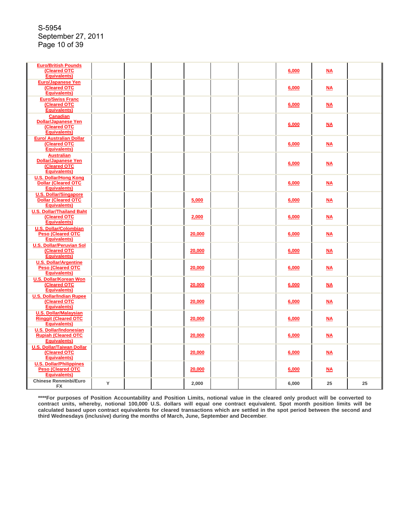| <b>Euro/British Pounds</b><br><b>(Cleared OTC</b><br><b>Equivalents)</b>                |   |  |        |  | 6,000 | $\underline{\mathsf{NA}}$ |    |
|-----------------------------------------------------------------------------------------|---|--|--------|--|-------|---------------------------|----|
| <b>Euro/Japanese Yen</b><br>(Cleared OTC<br><b>Equivalents)</b>                         |   |  |        |  | 6,000 | M                         |    |
| <b>Euro/Swiss Franc</b><br>(Cleared OTC<br><b>Equivalents)</b>                          |   |  |        |  | 6,000 | <u>NA</u>                 |    |
| <b>Canadian</b><br><b>Dollar/Japanese Yen</b><br>(Cleared OTC<br><b>Equivalents)</b>    |   |  |        |  | 6,000 | M                         |    |
| <b>Euro/ Australian Dollar</b><br><b>(Cleared OTC</b><br><b>Equivalents)</b>            |   |  |        |  | 6,000 | M                         |    |
| <b>Australian</b><br><b>Dollar/Japanese Yen</b><br>(Cleared OTC<br><b>Equivalents</b> ) |   |  |        |  | 6,000 | M <sub>A</sub>            |    |
| <b>U.S. Dollar/Hong Kong</b><br><b>Dollar (Cleared OTC</b><br><b>Equivalents)</b>       |   |  |        |  | 6,000 | <u>NA</u>                 |    |
| <b>U.S. Dollar/Singapore</b><br><b>Dollar (Cleared OTC</b><br><b>Equivalents)</b>       |   |  | 5,000  |  | 6,000 | <b>NA</b>                 |    |
| <b>U.S. Dollar/Thailand Baht</b><br><b>(Cleared OTC</b><br><b>Equivalents</b> )         |   |  | 2,000  |  | 6,000 | $M_{A}$                   |    |
| <b>U.S. Dollar/Colombian</b><br><b>Peso (Cleared OTC</b><br><b>Equivalents)</b>         |   |  | 20,000 |  | 6,000 | <b>NA</b>                 |    |
| <b>U.S. Dollar/Peruvian Sol</b><br>(Cleared OTC<br><b>Equivalents)</b>                  |   |  | 20,000 |  | 6,000 | <u>NA</u>                 |    |
| <b>U.S. Dollar/Argentine</b><br><b>Peso (Cleared OTC</b><br><b>Equivalents)</b>         |   |  | 20,000 |  | 6,000 | <b>NA</b>                 |    |
| <b>U.S. Dollar/Korean Won</b><br>(Cleared OTC<br><b>Equivalents)</b>                    |   |  | 20,000 |  | 6,000 | M                         |    |
| <b>U.S. Dollar/Indian Rupee</b><br>(Cleared OTC<br><b>Equivalents)</b>                  |   |  | 20,000 |  | 6,000 | M                         |    |
| <b>U.S. Dollar/Malaysian</b><br><b>Ringgit (Cleared OTC</b><br><b>Equivalents)</b>      |   |  | 20,000 |  | 6,000 | <b>NA</b>                 |    |
| <b>U.S. Dollar/Indonesian</b><br><b>Rupiah (Cleared OTC</b><br><b>Equivalents)</b>      |   |  | 20,000 |  | 6,000 | <b>NA</b>                 |    |
| <b>U.S. Dollar/Taiwan Dollar</b><br>(Cleared OTC<br><b>Equivalents</b> )                |   |  | 20,000 |  | 6,000 | M <sub>A</sub>            |    |
| <b>U.S. Dollar/Philippines</b><br><b>Peso (Cleared OTC</b><br><b>Equivalents)</b>       |   |  | 20,000 |  | 6,000 | <b>NA</b>                 |    |
| <b>Chinese Renminbi/Euro</b><br>FX                                                      | Y |  | 2,000  |  | 6,000 | 25                        | 25 |

**\*\*\*\*For purposes of Position Accountability and Position Limits, notional value in the cleared only product will be converted to contract units, whereby, notional 100,000 U.S. dollars will equal one contract equivalent. Spot month position limits will be calculated based upon contract equivalents for cleared transactions which are settled in the spot period between the second and third Wednesdays (inclusive) during the months of March, June, September and December**.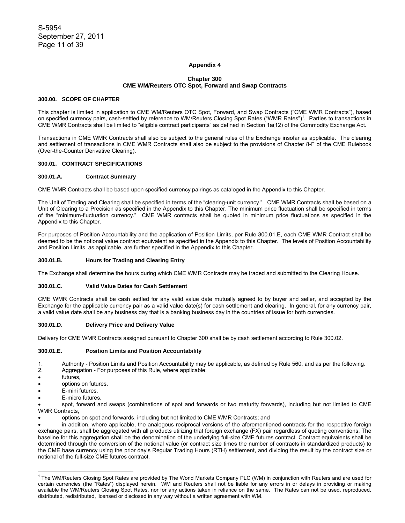### **Appendix 4**

### **Chapter 300 CME WM/Reuters OTC Spot, Forward and Swap Contracts**

#### **300.00. SCOPE OF CHAPTER**

This chapter is limited in application to CME WM/Reuters OTC Spot, Forward, and Swap Contracts ("CME WMR Contracts"), based on specified currency pairs, cash-settled by reference to WM/Reuters Closing Spot Rates ("WMR Rates")<sup>1</sup>. Parties to transactions in CME WMR Contracts shall be limited to "eligible contract participants" as defined in Section 1a(12) of the Commodity Exchange Act.

Transactions in CME WMR Contracts shall also be subject to the general rules of the Exchange insofar as applicable. The clearing and settlement of transactions in CME WMR Contracts shall also be subject to the provisions of Chapter 8-F of the CME Rulebook (Over-the-Counter Derivative Clearing).

#### **300.01. CONTRACT SPECIFICATIONS**

#### **300.01.A. Contract Summary**

CME WMR Contracts shall be based upon specified currency pairings as cataloged in the Appendix to this Chapter.

The Unit of Trading and Clearing shall be specified in terms of the "clearing-unit currency." CME WMR Contracts shall be based on a Unit of Clearing to a Precision as specified in the Appendix to this Chapter. The minimum price fluctuation shall be specified in terms of the "minimum-fluctuation currency." CME WMR contracts shall be quoted in minimum price fluctuations as specified in the Appendix to this Chapter.

For purposes of Position Accountability and the application of Position Limits, per Rule 300.01.E, each CME WMR Contract shall be deemed to be the notional value contract equivalent as specified in the Appendix to this Chapter. The levels of Position Accountability and Position Limits, as applicable, are further specified in the Appendix to this Chapter.

#### **300.01.B. Hours for Trading and Clearing Entry**

The Exchange shall determine the hours during which CME WMR Contracts may be traded and submitted to the Clearing House.

#### **300.01.C. Valid Value Dates for Cash Settlement**

CME WMR Contracts shall be cash settled for any valid value date mutually agreed to by buyer and seller, and accepted by the Exchange for the applicable currency pair as a valid value date(s) for cash settlement and clearing. In general, for any currency pair, a valid value date shall be any business day that is a banking business day in the countries of issue for both currencies.

#### **300.01.D. Delivery Price and Delivery Value**

Delivery for CME WMR Contracts assigned pursuant to Chapter 300 shall be by cash settlement according to Rule 300.02.

### **300.01.E. Position Limits and Position Accountability**

1. Authority - Position Limits and Position Accountability may be applicable, as defined by Rule 560, and as per the following.

- 2. Aggregation For purposes of this Rule, where applicable:
- futures,
- options on futures,
- E-mini futures.
- E-micro futures.

• spot, forward and swaps (combinations of spot and forwards or two maturity forwards), including but not limited to CME WMR Contracts,

• options on spot and forwards, including but not limited to CME WMR Contracts; and

• in addition, where applicable, the analogous reciprocal versions of the aforementioned contracts for the respective foreign exchange pairs, shall be aggregated with all products utilizing that foreign exchange (FX) pair regardless of quoting conventions. The baseline for this aggregation shall be the denomination of the underlying full-size CME futures contract. Contract equivalents shall be determined through the conversion of the notional value (or contract size times the number of contracts in standardized products) to the CME base currency using the prior day's Regular Trading Hours (RTH) settlement, and dividing the result by the contract size or notional of the full-size CME futures contract.

 1 The WM/Reuters Closing Spot Rates are provided by The World Markets Company PLC (WM) in conjunction with Reuters and are used for certain currencies (the "Rates") displayed herein. WM and Reuters shall not be liable for any errors in or delays in providing or making available the WM/Reuters Closing Spot Rates, nor for any actions taken in reliance on the same. The Rates can not be used, reproduced, distributed, redistributed, licensed or disclosed in any way without a written agreement with WM.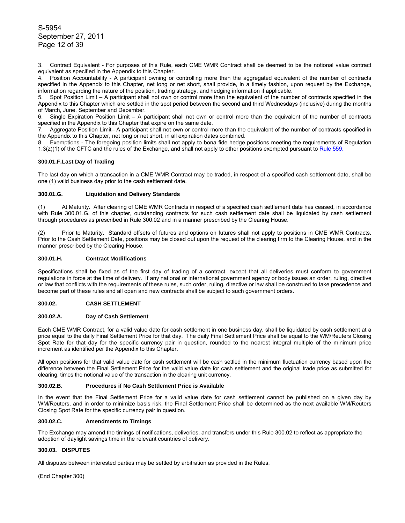3. Contract Equivalent - For purposes of this Rule, each CME WMR Contract shall be deemed to be the notional value contract equivalent as specified in the Appendix to this Chapter.

4. Position Accountability - A participant owning or controlling more than the aggregated equivalent of the number of contracts specified in the Appendix to this Chapter, net long or net short, shall provide, in a timely fashion, upon request by the Exchange, information regarding the nature of the position, trading strategy, and hedging information if applicable.

5. Spot Position Limit – A participant shall not own or control more than the equivalent of the number of contracts specified in the Appendix to this Chapter which are settled in the spot period between the second and third Wednesdays (inclusive) during the months of March, June, September and December.

6. Single Expiration Position Limit – A participant shall not own or control more than the equivalent of the number of contracts specified in the Appendix to this Chapter that expire on the same date.

7. Aggregate Position Limit– A participant shall not own or control more than the equivalent of the number of contracts specified in the Appendix to this Chapter, net long or net short, in all expiration dates combined.

8. Exemptions - The foregoing position limits shall not apply to bona fide hedge positions meeting the requirements of Regulation 1.3( $z$ )(1) of the CFTC and the rules of the Exchange, and shall not apply to other positions exempted pursuant to Rule  $559$ .

## **300.01.F. Last Day of Trading**

The last day on which a transaction in a CME WMR Contract may be traded, in respect of a specified cash settlement date, shall be one (1) valid business day prior to the cash settlement date.

#### **300.01.G. Liquidation and Delivery Standards**

(1) At Maturity. After clearing of CME WMR Contracts in respect of a specified cash settlement date has ceased, in accordance with Rule 300.01.G. of this chapter, outstanding contracts for such cash settlement date shall be liquidated by cash settlement through procedures as prescribed in Rule 300.02 and in a manner prescribed by the Clearing House.

(2) Prior to Maturity. Standard offsets of futures and options on futures shall not apply to positions in CME WMR Contracts. Prior to the Cash Settlement Date, positions may be closed out upon the request of the clearing firm to the Clearing House, and in the manner prescribed by the Clearing House.

#### **300.01.H. Contract Modifications**

Specifications shall be fixed as of the first day of trading of a contract, except that all deliveries must conform to government regulations in force at the time of delivery. If any national or international government agency or body issues an order, ruling, directive or law that conflicts with the requirements of these rules, such order, ruling, directive or law shall be construed to take precedence and become part of these rules and all open and new contracts shall be subject to such government orders.

#### **300.02. CASH SETTLEMENT**

#### **300.02.A. Day of Cash Settlement**

Each CME WMR Contract, for a valid value date for cash settlement in one business day, shall be liquidated by cash settlement at a price equal to the daily Final Settlement Price for that day. The daily Final Settlement Price shall be equal to the WM/Reuters Closing Spot Rate for that day for the specific currency pair in question, rounded to the nearest integral multiple of the minimum price increment as identified per the Appendix to this Chapter.

All open positions for that valid value date for cash settlement will be cash settled in the minimum fluctuation currency based upon the difference between the Final Settlement Price for the valid value date for cash settlement and the original trade price as submitted for clearing, times the notional value of the transaction in the clearing unit currency.

#### **300.02.B. Procedures if No Cash Settlement Price is Available**

In the event that the Final Settlement Price for a valid value date for cash settlement cannot be published on a given day by WM/Reuters, and in order to minimize basis risk, the Final Settlement Price shall be determined as the next available WM/Reuters Closing Spot Rate for the specific currency pair in question.

#### **300.02.C. Amendments to Timings**

The Exchange may amend the timings of notifications, deliveries, and transfers under this Rule 300.02 to reflect as appropriate the adoption of daylight savings time in the relevant countries of delivery.

### **300.03. DISPUTES**

All disputes between interested parties may be settled by arbitration as provided in the Rules.

(End Chapter 300)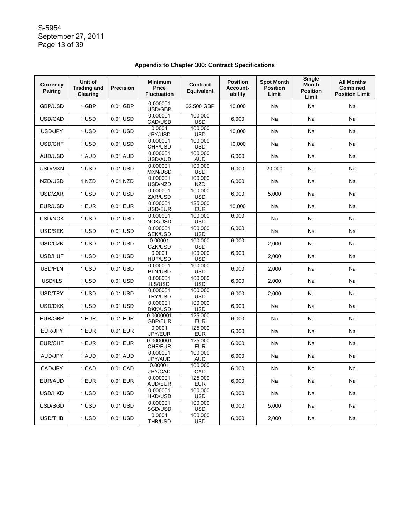S-5954 September 27, 2011 Page 13 of 39

| <b>Currency</b><br>Pairing | Unit of<br><b>Trading and</b><br>Clearing | <b>Precision</b> | Minimum<br>Price<br><b>Fluctuation</b> | Contract<br>Equivalent | <b>Position</b><br>Account-<br>ability | <b>Spot Month</b><br><b>Position</b><br>Limit | <b>Single</b><br><b>Month</b><br><b>Position</b><br>Limit | <b>All Months</b><br><b>Combined</b><br><b>Position Limit</b> |
|----------------------------|-------------------------------------------|------------------|----------------------------------------|------------------------|----------------------------------------|-----------------------------------------------|-----------------------------------------------------------|---------------------------------------------------------------|
| GBP/USD                    | 1 GBP                                     | 0.01 GBP         | 0.000001<br>USD/GBP                    | 62,500 GBP             | 10,000                                 | Na                                            | Na                                                        | Na                                                            |
| USD/CAD                    | 1 USD                                     | 0.01 USD         | 0.000001<br>CAD/USD                    | 100.000<br><b>USD</b>  | 6,000                                  | Na                                            | Na                                                        | Na                                                            |
| USD/JPY                    | 1 USD                                     | 0.01 USD         | 0.0001<br>JPY/USD                      | 100,000<br><b>USD</b>  | 10,000                                 | Na                                            | Na                                                        | Na                                                            |
| USD/CHF                    | 1 USD                                     | 0.01 USD         | 0.000001<br>CHF/USD                    | 100,000<br><b>USD</b>  | 10,000                                 | Na                                            | Na                                                        | Na                                                            |
| AUD/USD                    | 1 AUD                                     | 0.01 AUD         | 0.000001<br>USD/AUD                    | 100,000<br>AUD         | 6,000                                  | Na                                            | Na                                                        | Na                                                            |
| USD/MXN                    | 1 USD                                     | 0.01 USD         | 0.000001<br>MXN/USD                    | 100.000<br><b>USD</b>  | 6,000                                  | 20,000                                        | Na                                                        | Na                                                            |
| NZD/USD                    | 1 NZD                                     | 0.01 NZD         | 0.000001<br>USD/NZD                    | 100,000<br><b>NZD</b>  | 6,000                                  | Na                                            | Na                                                        | Na                                                            |
| USD/ZAR                    | 1 USD                                     | 0.01 USD         | 0.000001<br>ZAR/USD                    | 100,000<br><b>USD</b>  | 6,000                                  | 5.000                                         | Na                                                        | Na                                                            |
| EUR/USD                    | 1 EUR                                     | 0.01 EUR         | 0.000001<br>USD/EUR                    | 125,000<br><b>EUR</b>  | 10,000                                 | Na                                            | Na                                                        | Na                                                            |
| USD/NOK                    | 1 USD                                     | 0.01 USD         | 0.000001<br>NOK/USD                    | 100,000<br>USD         | 6,000                                  | Na                                            | Na                                                        | Na                                                            |
| USD/SEK                    | 1 USD                                     | 0.01 USD         | 0.000001<br>SEK/USD                    | 100,000<br><b>USD</b>  | 6,000                                  | Na                                            | Na                                                        | Na                                                            |
| USD/CZK                    | 1 USD                                     | 0.01 USD         | 0.00001<br>CZK/USD                     | 100,000<br><b>USD</b>  | 6,000                                  | 2,000                                         | Na                                                        | Na                                                            |
| USD/HUF                    | 1 USD                                     | 0.01 USD         | 0.0001<br><b>HUF/USD</b>               | 100,000<br><b>USD</b>  | 6,000                                  | 2,000                                         | Na                                                        | Na                                                            |
| USD/PLN                    | 1 USD                                     | 0.01 USD         | 0.000001<br>PLN/USD                    | 100,000<br><b>USD</b>  | 6,000                                  | 2,000                                         | Na                                                        | Na                                                            |
| USD/ILS                    | 1 USD                                     | 0.01 USD         | 0.000001<br>ILS/USD                    | 100,000<br><b>USD</b>  | 6,000                                  | 2,000                                         | Na                                                        | Na                                                            |
| USD/TRY                    | 1 USD                                     | 0.01 USD         | 0.000001<br>TRY/USD                    | 100,000<br><b>USD</b>  | 6,000                                  | 2,000                                         | Na                                                        | Na                                                            |
| USD/DKK                    | 1 USD                                     | 0.01 USD         | 0.000001<br>DKK/USD                    | 100,000<br><b>USD</b>  | 6,000                                  | Na                                            | Na                                                        | Na                                                            |
| EUR/GBP                    | 1 EUR                                     | 0.01 EUR         | 0.0000001<br><b>GBP/EUR</b>            | 125,000<br><b>EUR</b>  | 6,000                                  | Na                                            | Na                                                        | Na                                                            |
| EUR/JPY                    | 1 EUR                                     | 0.01 EUR         | 0.0001<br>JPY/EUR                      | 125,000<br><b>EUR</b>  | 6,000                                  | Na                                            | Na                                                        | Na                                                            |
| EUR/CHF                    | 1 EUR                                     | 0.01 EUR         | 0.0000001<br>CHF/EUR                   | 125,000<br><b>EUR</b>  | 6,000                                  | Na                                            | Na                                                        | Na                                                            |
| AUD/JPY                    | 1 AUD                                     | 0.01 AUD         | 0.000001<br>JPY/AUD                    | 100,000<br>AUD         | 6,000                                  | Na                                            | Na                                                        | Na                                                            |
| CAD/JPY                    | 1 CAD                                     | 0.01 CAD         | 0.00001<br>JPY/CAD                     | 100,000<br>CAD         | 6.000                                  | Na                                            | Na                                                        | Na                                                            |
| EUR/AUD                    | 1 EUR                                     | 0.01 EUR         | 0.000001<br>AUD/EUR                    | 125.000<br><b>EUR</b>  | 6,000                                  | Na                                            | Na                                                        | Na                                                            |
| USD/HKD                    | 1 USD                                     | 0.01 USD         | 0.000001<br><b>HKD/USD</b>             | 100,000<br>USD.        | 6,000                                  | Na                                            | Na                                                        | Na                                                            |
| USD/SGD                    | 1 USD                                     | 0.01 USD         | 0.000001<br>SGD/USD                    | 100,000<br>USD.        | 6,000                                  | 5,000                                         | Na                                                        | Na                                                            |
| USD/THB                    | 1 USD                                     | 0.01 USD         | 0.0001<br>THB/USD                      | 100,000<br><b>USD</b>  | 6,000                                  | 2,000                                         | Na                                                        | Na                                                            |

# **Appendix to Chapter 300: Contract Specifications**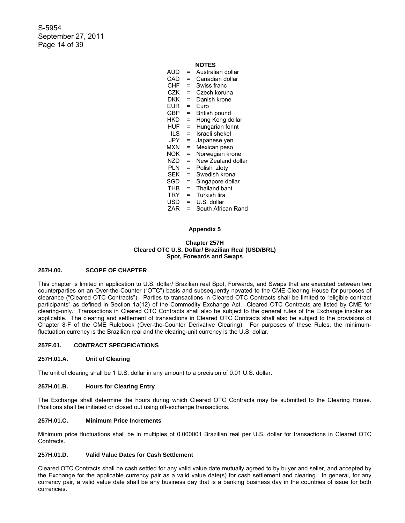S-5954 September 27, 2011 Page 14 of 39

# **NOTES**

| AUD        | =   | Australian dollar    |
|------------|-----|----------------------|
| CAD        | $=$ | Canadian dollar      |
| CHF        | $=$ | Swiss franc          |
| CZK        | $=$ | Czech koruna         |
| <b>DKK</b> | $=$ | Danish krone         |
| EUR        | $=$ | Euro                 |
| GBP        | $=$ | British pound        |
| HKD        | $=$ | Hong Kong dollar     |
| HUF        | $=$ | Hungarian forint     |
| ILS        | $=$ | Israeli shekel       |
| JPY.       | $=$ | Japanese yen         |
| <b>MXN</b> | $=$ | Mexican peso         |
| <b>NOK</b> | $=$ | Norwegian krone      |
| N7D        | $=$ | New Zealand dollar   |
| <b>PLN</b> | $=$ | Polish zloty         |
| <b>SEK</b> | Ξ   | Swedish krona        |
| SGD        | $=$ | Singapore dollar     |
| <b>THB</b> | $=$ | <b>Thailand baht</b> |
| TRY        | $=$ | Turkish lira         |
| USD        | $=$ | U.S. dollar          |
| ZAR        | =   | South African Rand   |
|            |     |                      |

#### **Appendix 5**

#### **Chapter 257H Cleared OTC U.S. Dollar/ Brazilian Real (USD/BRL) Spot, Forwards and Swaps**

#### **257H.00. SCOPE OF CHAPTER**

This chapter is limited in application to U.S. dollar/ Brazilian real Spot, Forwards, and Swaps that are executed between two counterparties on an Over-the-Counter ("OTC") basis and subsequently novated to the CME Clearing House for purposes of clearance ("Cleared OTC Contracts"). Parties to transactions in Cleared OTC Contracts shall be limited to "eligible contract participants" as defined in Section 1a(12) of the Commodity Exchange Act. Cleared OTC Contracts are listed by CME for clearing-only. Transactions in Cleared OTC Contracts shall also be subject to the general rules of the Exchange insofar as applicable. The clearing and settlement of transactions in Cleared OTC Contracts shall also be subject to the provisions of Chapter 8-F of the CME Rulebook (Over-the-Counter Derivative Clearing). For purposes of these Rules, the minimumfluctuation currency is the Brazilian real and the clearing-unit currency is the U.S. dollar.

### **257F.01. CONTRACT SPECIFICATIONS**

#### **257H.01.A. Unit of Clearing**

The unit of clearing shall be 1 U.S. dollar in any amount to a precision of 0.01 U.S. dollar.

### **257H.01.B. Hours for Clearing Entry**

The Exchange shall determine the hours during which Cleared OTC Contracts may be submitted to the Clearing House. Positions shall be initiated or closed out using off-exchange transactions.

### **257H.01.C. Minimum Price Increments**

Minimum price fluctuations shall be in multiples of 0.000001 Brazilian real per U.S. dollar for transactions in Cleared OTC Contracts.

# **257H.01.D. Valid Value Dates for Cash Settlement**

Cleared OTC Contracts shall be cash settled for any valid value date mutually agreed to by buyer and seller, and accepted by the Exchange for the applicable currency pair as a valid value date(s) for cash settlement and clearing. In general, for any currency pair, a valid value date shall be any business day that is a banking business day in the countries of issue for both currencies.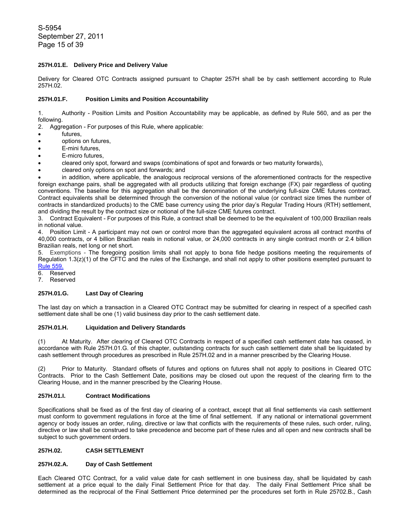S-5954 September 27, 2011 Page 15 of 39

### **257H.01.E. Delivery Price and Delivery Value**

Delivery for Cleared OTC Contracts assigned pursuant to Chapter 257H shall be by cash settlement according to Rule 257H.02.

### **257H.01.F. Position Limits and Position Accountability**

1. Authority - Position Limits and Position Accountability may be applicable, as defined by Rule 560, and as per the following.

2. Aggregation - For purposes of this Rule, where applicable:

- futures,
- options on futures,
- E-mini futures.
- E-micro futures,
- cleared only spot, forward and swaps (combinations of spot and forwards or two maturity forwards),
- cleared only options on spot and forwards; and

• in addition, where applicable, the analogous reciprocal versions of the aforementioned contracts for the respective foreign exchange pairs, shall be aggregated with all products utilizing that foreign exchange (FX) pair regardless of quoting conventions. The baseline for this aggregation shall be the denomination of the underlying full-size CME futures contract. Contract equivalents shall be determined through the conversion of the notional value (or contract size times the number of contracts in standardized products) to the CME base currency using the prior day's Regular Trading Hours (RTH) settlement, and dividing the result by the contract size or notional of the full-size CME futures contract.

3. Contract Equivalent - For purposes of this Rule, a contract shall be deemed to be the equivalent of 100,000 Brazilian reals in notional value.

4. Position Limit - A participant may not own or control more than the aggregated equivalent across all contract months of 40,000 contracts, or 4 billion Brazilian reals in notional value, or 24,000 contracts in any single contract month or 2.4 billion Brazilian reals, net long or net short.

5. Exemptions - The foregoing position limits shall not apply to bona fide hedge positions meeting the requirements of Regulation 1.3(z)(1) of the CFTC and the rules of the Exchange, and shall not apply to other positions exempted pursuant to Rule 559.

6. Reserved

7. Reserved

# **257H.01.G. Last Day of Clearing**

The last day on which a transaction in a Cleared OTC Contract may be submitted for clearing in respect of a specified cash settlement date shall be one (1) valid business day prior to the cash settlement date.

### **257H.01.H. Liquidation and Delivery Standards**

(1) At Maturity. After clearing of Cleared OTC Contracts in respect of a specified cash settlement date has ceased, in accordance with Rule 257H.01.G. of this chapter, outstanding contracts for such cash settlement date shall be liquidated by cash settlement through procedures as prescribed in Rule 257H.02 and in a manner prescribed by the Clearing House.

(2) Prior to Maturity. Standard offsets of futures and options on futures shall not apply to positions in Cleared OTC Contracts. Prior to the Cash Settlement Date, positions may be closed out upon the request of the clearing firm to the Clearing House, and in the manner prescribed by the Clearing House.

#### **257H.01.I. Contract Modifications**

Specifications shall be fixed as of the first day of clearing of a contract, except that all final settlements via cash settlement must conform to government regulations in force at the time of final settlement. If any national or international government agency or body issues an order, ruling, directive or law that conflicts with the requirements of these rules, such order, ruling, directive or law shall be construed to take precedence and become part of these rules and all open and new contracts shall be subject to such government orders.

# **257H.02. CASH SETTLEMENT**

### **257H.02.A. Day of Cash Settlement**

Each Cleared OTC Contract, for a valid value date for cash settlement in one business day, shall be liquidated by cash settlement at a price equal to the daily Final Settlement Price for that day. The daily Final Settlement Price shall be determined as the reciprocal of the Final Settlement Price determined per the procedures set forth in Rule 25702.B., Cash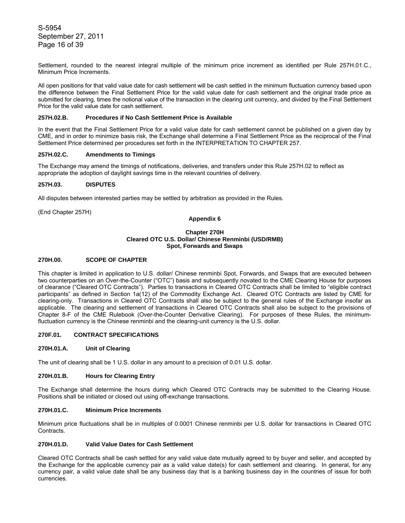S-5954 September 27, 2011 Page 16 of 39

Settlement, rounded to the nearest integral multiple of the minimum price increment as identified per Rule 257H.01.C., Minimum Price Increments.

All open positions for that valid value date for cash settlement will be cash settled in the minimum fluctuation currency based upon the difference between the Final Settlement Price for the valid value date for cash settlement and the original trade price as submitted for clearing, times the notional value of the transaction in the clearing unit currency, and divided by the Final Settlement Price for the valid value date for cash settlement.

### **257H.02.B. Procedures if No Cash Settlement Price is Available**

In the event that the Final Settlement Price for a valid value date for cash settlement cannot be published on a given day by CME, and in order to minimize basis risk, the Exchange shall determine a Final Settlement Price as the reciprocal of the Final Settlement Price determined per procedures set forth in the INTERPRETATION TO CHAPTER 257.

### **257H.02.C. Amendments to Timings**

The Exchange may amend the timings of notifications, deliveries, and transfers under this Rule 257H.02 to reflect as appropriate the adoption of daylight savings time in the relevant countries of delivery.

### **257H.03. DISPUTES**

All disputes between interested parties may be settled by arbitration as provided in the Rules.

(End Chapter 257H)

# **Appendix 6**

### **Chapter 270H Cleared OTC U.S. Dollar/ Chinese Renminbi (USD/RMB) Spot, Forwards and Swaps**

### **270H.00. SCOPE OF CHAPTER**

This chapter is limited in application to U.S. dollar/ Chinese renminbi Spot, Forwards, and Swaps that are executed between two counterparties on an Over-the-Counter ("OTC") basis and subsequently novated to the CME Clearing House for purposes of clearance ("Cleared OTC Contracts"). Parties to transactions in Cleared OTC Contracts shall be limited to "eligible contract participants" as defined in Section 1a(12) of the Commodity Exchange Act. Cleared OTC Contracts are listed by CME for clearing-only. Transactions in Cleared OTC Contracts shall also be subject to the general rules of the Exchange insofar as applicable. The clearing and settlement of transactions in Cleared OTC Contracts shall also be subject to the provisions of Chapter 8-F of the CME Rulebook (Over-the-Counter Derivative Clearing). For purposes of these Rules, the minimumfluctuation currency is the Chinese renminbi and the clearing-unit currency is the U.S. dollar.

# **270F.01. CONTRACT SPECIFICATIONS**

### **270H.01.A. Unit of Clearing**

The unit of clearing shall be 1 U.S. dollar in any amount to a precision of 0.01 U.S. dollar.

## **270H.01.B. Hours for Clearing Entry**

The Exchange shall determine the hours during which Cleared OTC Contracts may be submitted to the Clearing House. Positions shall be initiated or closed out using off-exchange transactions.

# **270H.01.C. Minimum Price Increments**

Minimum price fluctuations shall be in multiples of 0.0001 Chinese renminbi per U.S. dollar for transactions in Cleared OTC Contracts.

#### **270H.01.D. Valid Value Dates for Cash Settlement**

Cleared OTC Contracts shall be cash settled for any valid value date mutually agreed to by buyer and seller, and accepted by the Exchange for the applicable currency pair as a valid value date(s) for cash settlement and clearing. In general, for any currency pair, a valid value date shall be any business day that is a banking business day in the countries of issue for both currencies.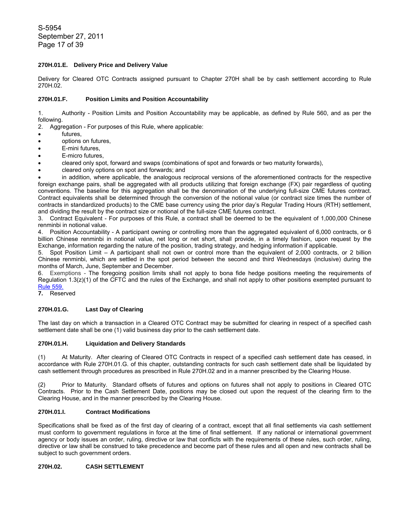S-5954 September 27, 2011 Page 17 of 39

# **270H.01.E. Delivery Price and Delivery Value**

Delivery for Cleared OTC Contracts assigned pursuant to Chapter 270H shall be by cash settlement according to Rule 270H.02.

# **270H.01.F. Position Limits and Position Accountability**

1. Authority - Position Limits and Position Accountability may be applicable, as defined by Rule 560, and as per the following.

2. Aggregation - For purposes of this Rule, where applicable:

- futures,
- options on futures,
- E-mini futures.
- E-micro futures,
- cleared only spot, forward and swaps (combinations of spot and forwards or two maturity forwards),
- cleared only options on spot and forwards; and

• in addition, where applicable, the analogous reciprocal versions of the aforementioned contracts for the respective foreign exchange pairs, shall be aggregated with all products utilizing that foreign exchange (FX) pair regardless of quoting conventions. The baseline for this aggregation shall be the denomination of the underlying full-size CME futures contract. Contract equivalents shall be determined through the conversion of the notional value (or contract size times the number of contracts in standardized products) to the CME base currency using the prior day's Regular Trading Hours (RTH) settlement, and dividing the result by the contract size or notional of the full-size CME futures contract.

3. Contract Equivalent - For purposes of this Rule, a contract shall be deemed to be the equivalent of 1,000,000 Chinese renminbi in notional value.

4. Position Accountability - A participant owning or controlling more than the aggregated equivalent of 6,000 contracts, or 6 billion Chinese renminbi in notional value, net long or net short, shall provide, in a timely fashion, upon request by the Exchange, information regarding the nature of the position, trading strategy, and hedging information if applicable.

5. Spot Position Limit – A participant shall not own or control more than the equivalent of 2,000 contracts, or 2 billion Chinese renminbi, which are settled in the spot period between the second and third Wednesdays (inclusive) during the months of March, June, September and December.

6. Exemptions - The foregoing position limits shall not apply to bona fide hedge positions meeting the requirements of Regulation 1.3(z)(1) of the CFTC and the rules of the Exchange, and shall not apply to other positions exempted pursuant to Rule 559.

**7.** Reserved

# **270H.01.G. Last Day of Clearing**

The last day on which a transaction in a Cleared OTC Contract may be submitted for clearing in respect of a specified cash settlement date shall be one (1) valid business day prior to the cash settlement date.

## **270H.01.H. Liquidation and Delivery Standards**

(1) At Maturity. After clearing of Cleared OTC Contracts in respect of a specified cash settlement date has ceased, in accordance with Rule 270H.01.G. of this chapter, outstanding contracts for such cash settlement date shall be liquidated by cash settlement through procedures as prescribed in Rule 270H.02 and in a manner prescribed by the Clearing House.

(2) Prior to Maturity. Standard offsets of futures and options on futures shall not apply to positions in Cleared OTC Contracts. Prior to the Cash Settlement Date, positions may be closed out upon the request of the clearing firm to the Clearing House, and in the manner prescribed by the Clearing House.

## **270H.01.I. Contract Modifications**

Specifications shall be fixed as of the first day of clearing of a contract, except that all final settlements via cash settlement must conform to government regulations in force at the time of final settlement. If any national or international government agency or body issues an order, ruling, directive or law that conflicts with the requirements of these rules, such order, ruling, directive or law shall be construed to take precedence and become part of these rules and all open and new contracts shall be subject to such government orders.

# **270H.02. CASH SETTLEMENT**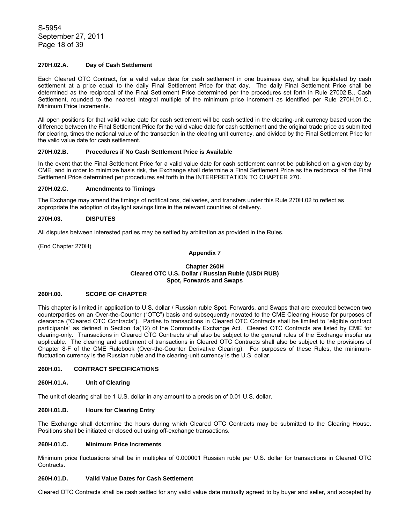S-5954 September 27, 2011 Page 18 of 39

# **270H.02.A. Day of Cash Settlement**

Each Cleared OTC Contract, for a valid value date for cash settlement in one business day, shall be liquidated by cash settlement at a price equal to the daily Final Settlement Price for that day. The daily Final Settlement Price shall be determined as the reciprocal of the Final Settlement Price determined per the procedures set forth in Rule 27002.B., Cash Settlement, rounded to the nearest integral multiple of the minimum price increment as identified per Rule 270H.01.C., Minimum Price Increments.

All open positions for that valid value date for cash settlement will be cash settled in the clearing-unit currency based upon the difference between the Final Settlement Price for the valid value date for cash settlement and the original trade price as submitted for clearing, times the notional value of the transaction in the clearing unit currency, and divided by the Final Settlement Price for the valid value date for cash settlement.

# **270H.02.B. Procedures if No Cash Settlement Price is Available**

In the event that the Final Settlement Price for a valid value date for cash settlement cannot be published on a given day by CME, and in order to minimize basis risk, the Exchange shall determine a Final Settlement Price as the reciprocal of the Final Settlement Price determined per procedures set forth in the INTERPRETATION TO CHAPTER 270.

# **270H.02.C. Amendments to Timings**

The Exchange may amend the timings of notifications, deliveries, and transfers under this Rule 270H.02 to reflect as appropriate the adoption of daylight savings time in the relevant countries of delivery.

### **270H.03. DISPUTES**

All disputes between interested parties may be settled by arbitration as provided in the Rules.

(End Chapter 270H)

### **Appendix 7**

### **Chapter 260H Cleared OTC U.S. Dollar / Russian Ruble (USD/ RUB) Spot, Forwards and Swaps**

# **260H.00. SCOPE OF CHAPTER**

This chapter is limited in application to U.S. dollar / Russian ruble Spot, Forwards, and Swaps that are executed between two counterparties on an Over-the-Counter ("OTC") basis and subsequently novated to the CME Clearing House for purposes of clearance ("Cleared OTC Contracts"). Parties to transactions in Cleared OTC Contracts shall be limited to "eligible contract participants" as defined in Section 1a(12) of the Commodity Exchange Act. Cleared OTC Contracts are listed by CME for clearing-only. Transactions in Cleared OTC Contracts shall also be subject to the general rules of the Exchange insofar as applicable. The clearing and settlement of transactions in Cleared OTC Contracts shall also be subject to the provisions of Chapter 8-F of the CME Rulebook (Over-the-Counter Derivative Clearing). For purposes of these Rules, the minimumfluctuation currency is the Russian ruble and the clearing-unit currency is the U.S. dollar.

### **260H.01. CONTRACT SPECIFICATIONS**

#### **260H.01.A. Unit of Clearing**

The unit of clearing shall be 1 U.S. dollar in any amount to a precision of 0.01 U.S. dollar.

# **260H.01.B. Hours for Clearing Entry**

The Exchange shall determine the hours during which Cleared OTC Contracts may be submitted to the Clearing House. Positions shall be initiated or closed out using off-exchange transactions.

### **260H.01.C. Minimum Price Increments**

Minimum price fluctuations shall be in multiples of 0.000001 Russian ruble per U.S. dollar for transactions in Cleared OTC Contracts.

## **260H.01.D. Valid Value Dates for Cash Settlement**

Cleared OTC Contracts shall be cash settled for any valid value date mutually agreed to by buyer and seller, and accepted by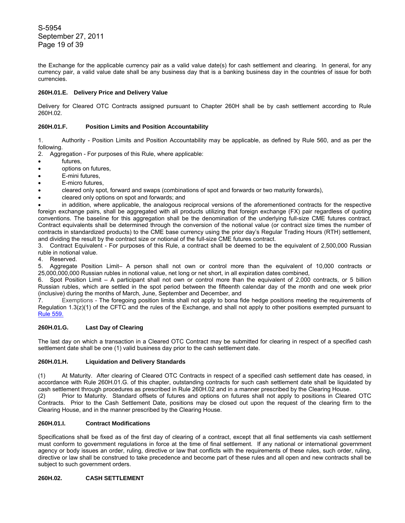S-5954 September 27, 2011 Page 19 of 39

the Exchange for the applicable currency pair as a valid value date(s) for cash settlement and clearing. In general, for any currency pair, a valid value date shall be any business day that is a banking business day in the countries of issue for both currencies.

# **260H.01.E. Delivery Price and Delivery Value**

Delivery for Cleared OTC Contracts assigned pursuant to Chapter 260H shall be by cash settlement according to Rule 260H.02.

# **260H.01.F. Position Limits and Position Accountability**

1. Authority - Position Limits and Position Accountability may be applicable, as defined by Rule 560, and as per the following.

- 2. Aggregation For purposes of this Rule, where applicable:
- futures,
- options on futures,
- E-mini futures.
- E-micro futures.
- cleared only spot, forward and swaps (combinations of spot and forwards or two maturity forwards),
- cleared only options on spot and forwards; and

• in addition, where applicable, the analogous reciprocal versions of the aforementioned contracts for the respective foreign exchange pairs, shall be aggregated with all products utilizing that foreign exchange (FX) pair regardless of quoting conventions. The baseline for this aggregation shall be the denomination of the underlying full-size CME futures contract. Contract equivalents shall be determined through the conversion of the notional value (or contract size times the number of contracts in standardized products) to the CME base currency using the prior day's Regular Trading Hours (RTH) settlement, and dividing the result by the contract size or notional of the full-size CME futures contract.

3. Contract Equivalent - For purposes of this Rule, a contract shall be deemed to be the equivalent of 2,500,000 Russian ruble in notional value.

4. Reserved.

5. Aggregate Position Limit– A person shall not own or control more than the equivalent of 10,000 contracts or 25,000,000,000 Russian rubles in notional value, net long or net short, in all expiration dates combined,

6. Spot Position Limit – A participant shall not own or control more than the equivalent of 2,000 contracts, or 5 billion Russian rubles, which are settled in the spot period between the fifteenth calendar day of the month and one week prior (inclusive) during the months of March, June, September and December, and

7. Exemptions - The foregoing position limits shall not apply to bona fide hedge positions meeting the requirements of Regulation 1.3(z)(1) of the CFTC and the rules of the Exchange, and shall not apply to other positions exempted pursuant to Rule 559.

## **260H.01.G. Last Day of Clearing**

The last day on which a transaction in a Cleared OTC Contract may be submitted for clearing in respect of a specified cash settlement date shall be one (1) valid business day prior to the cash settlement date.

## **260H.01.H. Liquidation and Delivery Standards**

(1) At Maturity. After clearing of Cleared OTC Contracts in respect of a specified cash settlement date has ceased, in accordance with Rule 260H.01.G. of this chapter, outstanding contracts for such cash settlement date shall be liquidated by cash settlement through procedures as prescribed in Rule 260H.02 and in a manner prescribed by the Clearing House.

(2) Prior to Maturity. Standard offsets of futures and options on futures shall not apply to positions in Cleared OTC Contracts. Prior to the Cash Settlement Date, positions may be closed out upon the request of the clearing firm to the Clearing House, and in the manner prescribed by the Clearing House.

## **260H.01.I. Contract Modifications**

Specifications shall be fixed as of the first day of clearing of a contract, except that all final settlements via cash settlement must conform to government regulations in force at the time of final settlement. If any national or international government agency or body issues an order, ruling, directive or law that conflicts with the requirements of these rules, such order, ruling, directive or law shall be construed to take precedence and become part of these rules and all open and new contracts shall be subject to such government orders.

# **260H.02. CASH SETTLEMENT**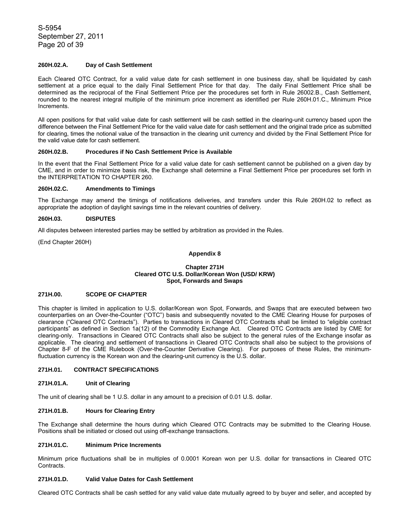S-5954 September 27, 2011 Page 20 of 39

# **260H.02.A. Day of Cash Settlement**

Each Cleared OTC Contract, for a valid value date for cash settlement in one business day, shall be liquidated by cash settlement at a price equal to the daily Final Settlement Price for that day. The daily Final Settlement Price shall be determined as the reciprocal of the Final Settlement Price per the procedures set forth in Rule 26002.B., Cash Settlement, rounded to the nearest integral multiple of the minimum price increment as identified per Rule 260H.01.C., Minimum Price Increments.

All open positions for that valid value date for cash settlement will be cash settled in the clearing-unit currency based upon the difference between the Final Settlement Price for the valid value date for cash settlement and the original trade price as submitted for clearing, times the notional value of the transaction in the clearing unit currency and divided by the Final Settlement Price for the valid value date for cash settlement.

### **260H.02.B. Procedures if No Cash Settlement Price is Available**

In the event that the Final Settlement Price for a valid value date for cash settlement cannot be published on a given day by CME, and in order to minimize basis risk, the Exchange shall determine a Final Settlement Price per procedures set forth in the INTERPRETATION TO CHAPTER 260.

# **260H.02.C. Amendments to Timings**

The Exchange may amend the timings of notifications deliveries, and transfers under this Rule 260H.02 to reflect as appropriate the adoption of daylight savings time in the relevant countries of delivery.

### **260H.03. DISPUTES**

All disputes between interested parties may be settled by arbitration as provided in the Rules.

(End Chapter 260H)

# **Appendix 8**

### **Chapter 271H Cleared OTC U.S. Dollar/Korean Won (USD/ KRW) Spot, Forwards and Swaps**

## **271H.00. SCOPE OF CHAPTER**

This chapter is limited in application to U.S. dollar/Korean won Spot, Forwards, and Swaps that are executed between two counterparties on an Over-the-Counter ("OTC") basis and subsequently novated to the CME Clearing House for purposes of clearance ("Cleared OTC Contracts"). Parties to transactions in Cleared OTC Contracts shall be limited to "eligible contract participants" as defined in Section 1a(12) of the Commodity Exchange Act. Cleared OTC Contracts are listed by CME for clearing-only. Transactions in Cleared OTC Contracts shall also be subject to the general rules of the Exchange insofar as applicable. The clearing and settlement of transactions in Cleared OTC Contracts shall also be subject to the provisions of Chapter 8-F of the CME Rulebook (Over-the-Counter Derivative Clearing). For purposes of these Rules, the minimumfluctuation currency is the Korean won and the clearing-unit currency is the U.S. dollar.

# **271H.01. CONTRACT SPECIFICATIONS**

## **271H.01.A. Unit of Clearing**

The unit of clearing shall be 1 U.S. dollar in any amount to a precision of 0.01 U.S. dollar.

# **271H.01.B. Hours for Clearing Entry**

The Exchange shall determine the hours during which Cleared OTC Contracts may be submitted to the Clearing House. Positions shall be initiated or closed out using off-exchange transactions.

### **271H.01.C. Minimum Price Increments**

Minimum price fluctuations shall be in multiples of 0.0001 Korean won per U.S. dollar for transactions in Cleared OTC Contracts.

### **271H.01.D. Valid Value Dates for Cash Settlement**

Cleared OTC Contracts shall be cash settled for any valid value date mutually agreed to by buyer and seller, and accepted by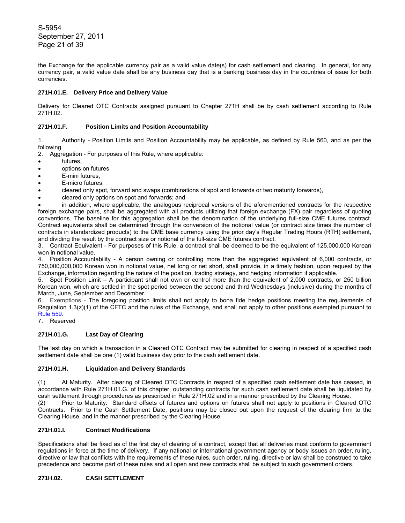S-5954 September 27, 2011 Page 21 of 39

the Exchange for the applicable currency pair as a valid value date(s) for cash settlement and clearing. In general, for any currency pair, a valid value date shall be any business day that is a banking business day in the countries of issue for both currencies.

# **271H.01.E. Delivery Price and Delivery Value**

Delivery for Cleared OTC Contracts assigned pursuant to Chapter 271H shall be by cash settlement according to Rule 271H.02.

# **271H.01.F. Position Limits and Position Accountability**

1. Authority - Position Limits and Position Accountability may be applicable, as defined by Rule 560, and as per the following.

- 2. Aggregation For purposes of this Rule, where applicable:
- futures,
- options on futures,
- E-mini futures.
- E-micro futures.
- cleared only spot, forward and swaps (combinations of spot and forwards or two maturity forwards),
- cleared only options on spot and forwards; and

• in addition, where applicable, the analogous reciprocal versions of the aforementioned contracts for the respective foreign exchange pairs, shall be aggregated with all products utilizing that foreign exchange (FX) pair regardless of quoting conventions. The baseline for this aggregation shall be the denomination of the underlying full-size CME futures contract. Contract equivalents shall be determined through the conversion of the notional value (or contract size times the number of contracts in standardized products) to the CME base currency using the prior day's Regular Trading Hours (RTH) settlement, and dividing the result by the contract size or notional of the full-size CME futures contract.

3. Contract Equivalent - For purposes of this Rule, a contract shall be deemed to be the equivalent of 125,000,000 Korean won in notional value.

4. Position Accountability - A person owning or controlling more than the aggregated equivalent of 6,000 contracts, or 750,000,000,000 Korean won in notional value, net long or net short, shall provide, in a timely fashion, upon request by the Exchange, information regarding the nature of the position, trading strategy, and hedging information if applicable.

5. Spot Position Limit – A participant shall not own or control more than the equivalent of 2,000 contracts, or 250 billion Korean won, which are settled in the spot period between the second and third Wednesdays (inclusive) during the months of March, June, September and December.

6. Exemptions - The foregoing position limits shall not apply to bona fide hedge positions meeting the requirements of Regulation 1.3(z)(1) of the CFTC and the rules of the Exchange, and shall not apply to other positions exempted pursuant to Rule 559.

7. Reserved

# **271H.01.G. Last Day of Clearing**

The last day on which a transaction in a Cleared OTC Contract may be submitted for clearing in respect of a specified cash settlement date shall be one (1) valid business day prior to the cash settlement date.

## **271H.01.H. Liquidation and Delivery Standards**

(1) At Maturity. After clearing of Cleared OTC Contracts in respect of a specified cash settlement date has ceased, in accordance with Rule 271H.01.G. of this chapter, outstanding contracts for such cash settlement date shall be liquidated by cash settlement through procedures as prescribed in Rule 271H.02 and in a manner prescribed by the Clearing House. (2) Prior to Maturity. Standard offsets of futures and options on futures shall not apply to positions in Cleared OTC Contracts. Prior to the Cash Settlement Date, positions may be closed out upon the request of the clearing firm to the Clearing House, and in the manner prescribed by the Clearing House.

## **271H.01.I. Contract Modifications**

Specifications shall be fixed as of the first day of clearing of a contract, except that all deliveries must conform to government regulations in force at the time of delivery. If any national or international government agency or body issues an order, ruling, directive or law that conflicts with the requirements of these rules, such order, ruling, directive or law shall be construed to take precedence and become part of these rules and all open and new contracts shall be subject to such government orders.

# **271H.02. CASH SETTLEMENT**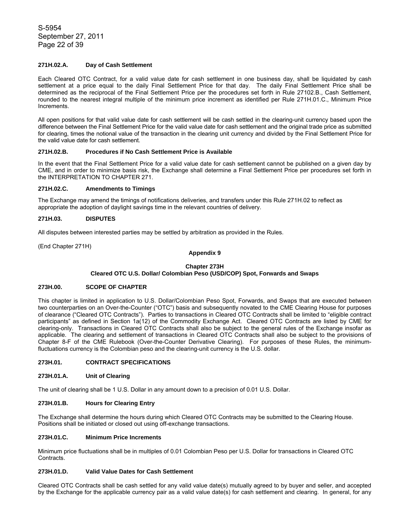S-5954 September 27, 2011 Page 22 of 39

# **271H.02.A. Day of Cash Settlement**

Each Cleared OTC Contract, for a valid value date for cash settlement in one business day, shall be liquidated by cash settlement at a price equal to the daily Final Settlement Price for that day. The daily Final Settlement Price shall be determined as the reciprocal of the Final Settlement Price per the procedures set forth in Rule 27102.B., Cash Settlement, rounded to the nearest integral multiple of the minimum price increment as identified per Rule 271H.01.C., Minimum Price Increments.

All open positions for that valid value date for cash settlement will be cash settled in the clearing-unit currency based upon the difference between the Final Settlement Price for the valid value date for cash settlement and the original trade price as submitted for clearing, times the notional value of the transaction in the clearing unit currency and divided by the Final Settlement Price for the valid value date for cash settlement.

# **271H.02.B. Procedures if No Cash Settlement Price is Available**

In the event that the Final Settlement Price for a valid value date for cash settlement cannot be published on a given day by CME, and in order to minimize basis risk, the Exchange shall determine a Final Settlement Price per procedures set forth in the INTERPRETATION TO CHAPTER 271.

### **271H.02.C. Amendments to Timings**

The Exchange may amend the timings of notifications deliveries, and transfers under this Rule 271H.02 to reflect as appropriate the adoption of daylight savings time in the relevant countries of delivery.

### **271H.03. DISPUTES**

All disputes between interested parties may be settled by arbitration as provided in the Rules.

(End Chapter 271H)

## **Appendix 9**

## **Chapter 273H**

## **Cleared OTC U.S. Dollar/ Colombian Peso (USD/COP) Spot, Forwards and Swaps**

# **273H.00. SCOPE OF CHAPTER**

This chapter is limited in application to U.S. Dollar/Colombian Peso Spot, Forwards, and Swaps that are executed between two counterparties on an Over-the-Counter ("OTC") basis and subsequently novated to the CME Clearing House for purposes of clearance ("Cleared OTC Contracts"). Parties to transactions in Cleared OTC Contracts shall be limited to "eligible contract participants" as defined in Section 1a(12) of the Commodity Exchange Act. Cleared OTC Contracts are listed by CME for clearing-only. Transactions in Cleared OTC Contracts shall also be subject to the general rules of the Exchange insofar as applicable. The clearing and settlement of transactions in Cleared OTC Contracts shall also be subject to the provisions of Chapter 8-F of the CME Rulebook (Over-the-Counter Derivative Clearing). For purposes of these Rules, the minimumfluctuations currency is the Colombian peso and the clearing-unit currency is the U.S. dollar.

### **273H.01. CONTRACT SPECIFICATIONS**

### **273H.01.A. Unit of Clearing**

The unit of clearing shall be 1 U.S. Dollar in any amount down to a precision of 0.01 U.S. Dollar.

# **273H.01.B. Hours for Clearing Entry**

The Exchange shall determine the hours during which Cleared OTC Contracts may be submitted to the Clearing House. Positions shall be initiated or closed out using off-exchange transactions.

### **273H.01.C. Minimum Price Increments**

Minimum price fluctuations shall be in multiples of 0.01 Colombian Peso per U.S. Dollar for transactions in Cleared OTC Contracts.

## **273H.01.D. Valid Value Dates for Cash Settlement**

Cleared OTC Contracts shall be cash settled for any valid value date(s) mutually agreed to by buyer and seller, and accepted by the Exchange for the applicable currency pair as a valid value date(s) for cash settlement and clearing. In general, for any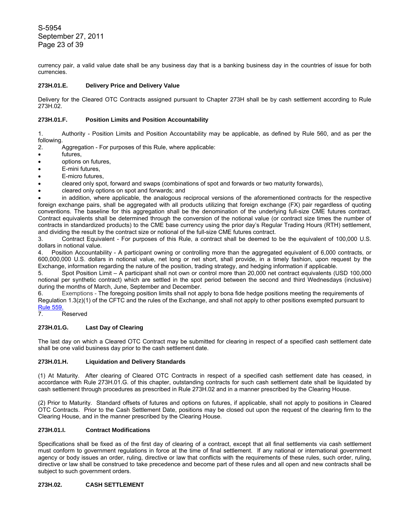S-5954 September 27, 2011 Page 23 of 39

currency pair, a valid value date shall be any business day that is a banking business day in the countries of issue for both currencies.

# **273H.01.E. Delivery Price and Delivery Value**

Delivery for the Cleared OTC Contracts assigned pursuant to Chapter 273H shall be by cash settlement according to Rule 273H.02.

# **273H.01.F. Position Limits and Position Accountability**

1. Authority - Position Limits and Position Accountability may be applicable, as defined by Rule 560, and as per the following.

2. Aggregation - For purposes of this Rule, where applicable:

- futures,
- options on futures,
- E-mini futures.
- E-micro futures.
- cleared only spot, forward and swaps (combinations of spot and forwards or two maturity forwards),
- cleared only options on spot and forwards; and

• in addition, where applicable, the analogous reciprocal versions of the aforementioned contracts for the respective foreign exchange pairs, shall be aggregated with all products utilizing that foreign exchange (FX) pair regardless of quoting conventions. The baseline for this aggregation shall be the denomination of the underlying full-size CME futures contract. Contract equivalents shall be determined through the conversion of the notional value (or contract size times the number of contracts in standardized products) to the CME base currency using the prior day's Regular Trading Hours (RTH) settlement, and dividing the result by the contract size or notional of the full-size CME futures contract.

3. Contract Equivalent - For purposes of this Rule, a contract shall be deemed to be the equivalent of 100,000 U.S. dollars in notional value.

4. Position Accountability - A participant owning or controlling more than the aggregated equivalent of 6,000 contracts, or 600,000,000 U.S. dollars in notional value, net long or net short, shall provide, in a timely fashion, upon request by the Exchange, information regarding the nature of the position, trading strategy, and hedging information if applicable.

5. Spot Position Limit – A participant shall not own or control more than 20,000 net contract equivalents (USD 100,000 notional per synthetic contract) which are settled in the spot period between the second and third Wednesdays (inclusive) during the months of March, June, September and December.

6. Exemptions - The foregoing position limits shall not apply to bona fide hedge positions meeting the requirements of Regulation 1.3(z)(1) of the CFTC and the rules of the Exchange, and shall not apply to other positions exempted pursuant to Rule 559.

7. Reserved

## **273H.01.G. Last Day of Clearing**

The last day on which a Cleared OTC Contract may be submitted for clearing in respect of a specified cash settlement date shall be one valid business day prior to the cash settlement date.

## **273H.01.H. Liquidation and Delivery Standards**

(1) At Maturity. After clearing of Cleared OTC Contracts in respect of a specified cash settlement date has ceased, in accordance with Rule 273H.01.G. of this chapter, outstanding contracts for such cash settlement date shall be liquidated by cash settlement through procedures as prescribed in Rule 273H.02 and in a manner prescribed by the Clearing House.

(2) Prior to Maturity. Standard offsets of futures and options on futures, if applicable, shall not apply to positions in Cleared OTC Contracts. Prior to the Cash Settlement Date, positions may be closed out upon the request of the clearing firm to the Clearing House, and in the manner prescribed by the Clearing House.

## **273H.01.I. Contract Modifications**

Specifications shall be fixed as of the first day of clearing of a contract, except that all final settlements via cash settlement must conform to government regulations in force at the time of final settlement. If any national or international government agency or body issues an order, ruling, directive or law that conflicts with the requirements of these rules, such order, ruling, directive or law shall be construed to take precedence and become part of these rules and all open and new contracts shall be subject to such government orders.

# **273H.02. CASH SETTLEMENT**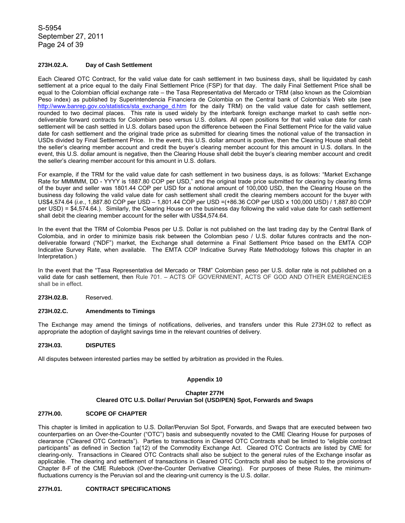S-5954 September 27, 2011 Page 24 of 39

# **273H.02.A. Day of Cash Settlement**

Each Cleared OTC Contract, for the valid value date for cash settlement in two business days, shall be liquidated by cash settlement at a price equal to the daily Final Settlement Price (FSP) for that day. The daily Final Settlement Price shall be equal to the Colombian official exchange rate – the Tasa Representativa del Mercado or TRM (also known as the Colombian Peso index) as published by Superintendencia Financiera de Colombia on the Central bank of Colombia's Web site (see http://www.banrep.gov.co/statistics/sta\_exchange\_d.htm for the daily TRM) on the valid value date for cash settlement, rounded to two decimal places. This rate is used widely by the interbank foreign exchange market to cash settle nondeliverable forward contracts for Colombian peso versus U.S. dollars. All open positions for that valid value date for cash settlement will be cash settled in U.S. dollars based upon the difference between the Final Settlement Price for the valid value date for cash settlement and the original trade price as submitted for clearing times the notional value of the transaction in USDs divided by Final Settlement Price. In the event, this U.S. dollar amount is positive, then the Clearing House shall debit the seller's clearing member account and credit the buyer's clearing member account for this amount in U.S. dollars. In the event, this U.S. dollar amount is negative, then the Clearing House shall debit the buyer's clearing member account and credit the seller's clearing member account for this amount in U.S. dollars.

For example, if the TRM for the valid value date for cash settlement in two business days, is as follows: "Market Exchange Rate for MMMMM, DD - YYYY is 1887.80 COP per USD," and the original trade price submitted for clearing by clearing firms of the buyer and seller was 1801.44 COP per USD for a notional amount of 100,000 USD, then the Clearing House on the business day following the valid value date for cash settlement shall credit the clearing members account for the buyer with US\$4,574.64 (*i.e.*, 1,887.80 COP per USD – 1,801.44 COP per USD =(+86.36 COP per USD x 100,000 USD) / 1,887.80 COP per USD) = \$4,574.64.). Similarly, the Clearing House on the business day following the valid value date for cash settlement shall debit the clearing member account for the seller with US\$4,574.64.

In the event that the TRM of Colombia Pesos per U.S. Dollar is not published on the last trading day by the Central Bank of Colombia, and in order to minimize basis risk between the Colombian peso / U.S. dollar futures contracts and the nondeliverable forward ("NDF") market, the Exchange shall determine a Final Settlement Price based on the EMTA COP Indicative Survey Rate, when available. The EMTA COP Indicative Survey Rate Methodology follows this chapter in an Interpretation.)

In the event that the "Tasa Representativa del Mercado or TRM" Colombian peso per U.S. dollar rate is not published on a valid date for cash settlement, then Rule 701. – ACTS OF GOVERNMENT, ACTS OF GOD AND OTHER EMERGENCIES shall be in effect.

### **273H.02.B.** Reserved.

#### **273H.02.C. Amendments to Timings**

The Exchange may amend the timings of notifications, deliveries, and transfers under this Rule 273H.02 to reflect as appropriate the adoption of daylight savings time in the relevant countries of delivery.

### **273H.03. DISPUTES**

All disputes between interested parties may be settled by arbitration as provided in the Rules.

## **Appendix 10**

### **Chapter 277H Cleared OTC U.S. Dollar/ Peruvian Sol (USD/PEN) Spot, Forwards and Swaps**

### **277H.00. SCOPE OF CHAPTER**

This chapter is limited in application to U.S. Dollar/Peruvian Sol Spot, Forwards, and Swaps that are executed between two counterparties on an Over-the-Counter ("OTC") basis and subsequently novated to the CME Clearing House for purposes of clearance ("Cleared OTC Contracts"). Parties to transactions in Cleared OTC Contracts shall be limited to "eligible contract participants" as defined in Section 1a(12) of the Commodity Exchange Act. Cleared OTC Contracts are listed by CME for clearing-only. Transactions in Cleared OTC Contracts shall also be subject to the general rules of the Exchange insofar as applicable. The clearing and settlement of transactions in Cleared OTC Contracts shall also be subject to the provisions of Chapter 8-F of the CME Rulebook (Over-the-Counter Derivative Clearing). For purposes of these Rules, the minimumfluctuations currency is the Peruvian sol and the clearing-unit currency is the U.S. dollar.

## **277H.01. CONTRACT SPECIFICATIONS**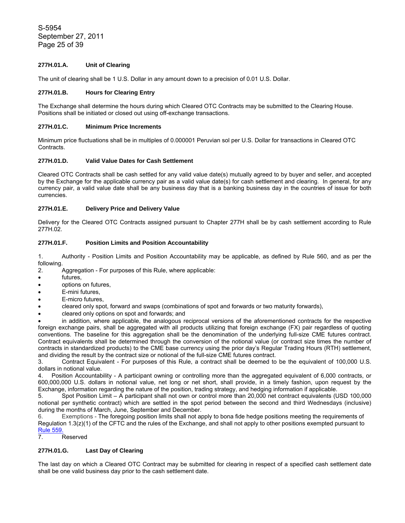S-5954 September 27, 2011 Page 25 of 39

# **277H.01.A. Unit of Clearing**

The unit of clearing shall be 1 U.S. Dollar in any amount down to a precision of 0.01 U.S. Dollar.

## **277H.01.B. Hours for Clearing Entry**

The Exchange shall determine the hours during which Cleared OTC Contracts may be submitted to the Clearing House. Positions shall be initiated or closed out using off-exchange transactions.

### **277H.01.C. Minimum Price Increments**

Minimum price fluctuations shall be in multiples of 0.000001 Peruvian sol per U.S. Dollar for transactions in Cleared OTC Contracts.

# **277H.01.D. Valid Value Dates for Cash Settlement**

Cleared OTC Contracts shall be cash settled for any valid value date(s) mutually agreed to by buyer and seller, and accepted by the Exchange for the applicable currency pair as a valid value date(s) for cash settlement and clearing. In general, for any currency pair, a valid value date shall be any business day that is a banking business day in the countries of issue for both currencies.

## **277H.01.E. Delivery Price and Delivery Value**

Delivery for the Cleared OTC Contracts assigned pursuant to Chapter 277H shall be by cash settlement according to Rule 277H.02.

# **277H.01.F. Position Limits and Position Accountability**

1. Authority - Position Limits and Position Accountability may be applicable, as defined by Rule 560, and as per the following.

2. Aggregation - For purposes of this Rule, where applicable:

- futures,
- options on futures,
- E-mini futures,
- E-micro futures.
- cleared only spot, forward and swaps (combinations of spot and forwards or two maturity forwards),
- cleared only options on spot and forwards; and

• in addition, where applicable, the analogous reciprocal versions of the aforementioned contracts for the respective foreign exchange pairs, shall be aggregated with all products utilizing that foreign exchange (FX) pair regardless of quoting conventions. The baseline for this aggregation shall be the denomination of the underlying full-size CME futures contract. Contract equivalents shall be determined through the conversion of the notional value (or contract size times the number of contracts in standardized products) to the CME base currency using the prior day's Regular Trading Hours (RTH) settlement, and dividing the result by the contract size or notional of the full-size CME futures contract.

3. Contract Equivalent - For purposes of this Rule, a contract shall be deemed to be the equivalent of 100,000 U.S. dollars in notional value.

4. Position Accountability - A participant owning or controlling more than the aggregated equivalent of 6,000 contracts, or 600,000,000 U.S. dollars in notional value, net long or net short, shall provide, in a timely fashion, upon request by the Exchange, information regarding the nature of the position, trading strategy, and hedging information if applicable.

5. Spot Position Limit – A participant shall not own or control more than 20,000 net contract equivalents (USD 100,000 notional per synthetic contract) which are settled in the spot period between the second and third Wednesdays (inclusive) during the months of March, June, September and December.

6. Exemptions - The foregoing position limits shall not apply to bona fide hedge positions meeting the requirements of Regulation 1.3(z)(1) of the CFTC and the rules of the Exchange, and shall not apply to other positions exempted pursuant to Rule 559.

7. Reserved

# **277H.01.G. Last Day of Clearing**

The last day on which a Cleared OTC Contract may be submitted for clearing in respect of a specified cash settlement date shall be one valid business day prior to the cash settlement date.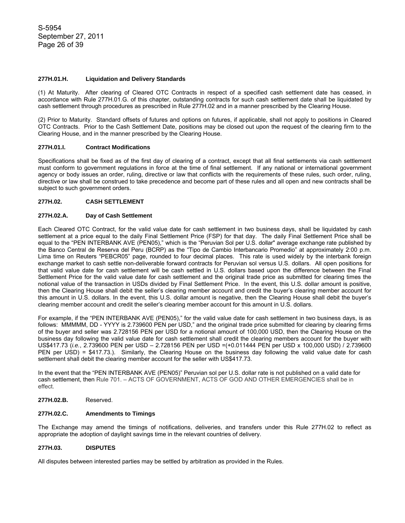## **277H.01.H. Liquidation and Delivery Standards**

(1) At Maturity. After clearing of Cleared OTC Contracts in respect of a specified cash settlement date has ceased, in accordance with Rule 277H.01.G. of this chapter, outstanding contracts for such cash settlement date shall be liquidated by cash settlement through procedures as prescribed in Rule 277H.02 and in a manner prescribed by the Clearing House.

(2) Prior to Maturity. Standard offsets of futures and options on futures, if applicable, shall not apply to positions in Cleared OTC Contracts. Prior to the Cash Settlement Date, positions may be closed out upon the request of the clearing firm to the Clearing House, and in the manner prescribed by the Clearing House.

# **277H.01.I. Contract Modifications**

Specifications shall be fixed as of the first day of clearing of a contract, except that all final settlements via cash settlement must conform to government regulations in force at the time of final settlement. If any national or international government agency or body issues an order, ruling, directive or law that conflicts with the requirements of these rules, such order, ruling, directive or law shall be construed to take precedence and become part of these rules and all open and new contracts shall be subject to such government orders.

# **277H.02. CASH SETTLEMENT**

# **277H.02.A. Day of Cash Settlement**

Each Cleared OTC Contract, for the valid value date for cash settlement in two business days, shall be liquidated by cash settlement at a price equal to the daily Final Settlement Price (FSP) for that day. The daily Final Settlement Price shall be equal to the "PEN INTERBANK AVE (PEN05)," which is the "Peruvian Sol per U.S. dollar" average exchange rate published by the Banco Central de Reserva del Peru (BCRP) as the "Tipo de Cambio Interbancario Promedio" at approximately 2:00 p.m. Lima time on Reuters "PEBCR05" page, rounded to four decimal places. This rate is used widely by the interbank foreign exchange market to cash settle non-deliverable forward contracts for Peruvian sol versus U.S. dollars. All open positions for that valid value date for cash settlement will be cash settled in U.S. dollars based upon the difference between the Final Settlement Price for the valid value date for cash settlement and the original trade price as submitted for clearing times the notional value of the transaction in USDs divided by Final Settlement Price. In the event, this U.S. dollar amount is positive, then the Clearing House shall debit the seller's clearing member account and credit the buyer's clearing member account for this amount in U.S. dollars. In the event, this U.S. dollar amount is negative, then the Clearing House shall debit the buyer's clearing member account and credit the seller's clearing member account for this amount in U.S. dollars.

For example, if the "PEN INTERBANK AVE (PEN05)," for the valid value date for cash settlement in two business days, is as follows: MMMMM, DD - YYYY is 2.739600 PEN per USD," and the original trade price submitted for clearing by clearing firms of the buyer and seller was 2.728156 PEN per USD for a notional amount of 100,000 USD, then the Clearing House on the business day following the valid value date for cash settlement shall credit the clearing members account for the buyer with US\$417.73 (*i.e.*, 2.739600 PEN per USD – 2.728156 PEN per USD =(+0.011444 PEN per USD x 100,000 USD) / 2.739600 PEN per USD) = \$417.73.). Similarly, the Clearing House on the business day following the valid value date for cash settlement shall debit the clearing member account for the seller with US\$417.73.

In the event that the "PEN INTERBANK AVE (PEN05)" Peruvian sol per U.S. dollar rate is not published on a valid date for cash settlement, then Rule 701. – ACTS OF GOVERNMENT, ACTS OF GOD AND OTHER EMERGENCIES shall be in effect.

**277H.02.B.** Reserved.

# **277H.02.C. Amendments to Timings**

The Exchange may amend the timings of notifications, deliveries, and transfers under this Rule 277H.02 to reflect as appropriate the adoption of daylight savings time in the relevant countries of delivery.

## **277H.03. DISPUTES**

All disputes between interested parties may be settled by arbitration as provided in the Rules.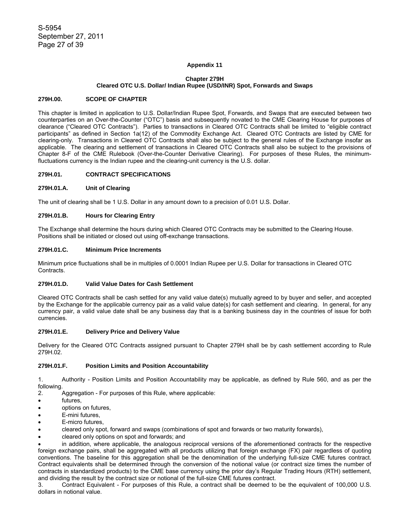### **Appendix 11**

# **Chapter 279H Cleared OTC U.S. Dollar/ Indian Rupee (USD/INR) Spot, Forwards and Swaps**

### **279H.00. SCOPE OF CHAPTER**

This chapter is limited in application to U.S. Dollar/Indian Rupee Spot, Forwards, and Swaps that are executed between two counterparties on an Over-the-Counter ("OTC") basis and subsequently novated to the CME Clearing House for purposes of clearance ("Cleared OTC Contracts"). Parties to transactions in Cleared OTC Contracts shall be limited to "eligible contract participants" as defined in Section 1a(12) of the Commodity Exchange Act. Cleared OTC Contracts are listed by CME for clearing-only. Transactions in Cleared OTC Contracts shall also be subject to the general rules of the Exchange insofar as applicable. The clearing and settlement of transactions in Cleared OTC Contracts shall also be subject to the provisions of Chapter 8-F of the CME Rulebook (Over-the-Counter Derivative Clearing). For purposes of these Rules, the minimumfluctuations currency is the Indian rupee and the clearing-unit currency is the U.S. dollar.

# **279H.01. CONTRACT SPECIFICATIONS**

### **279H.01.A. Unit of Clearing**

The unit of clearing shall be 1 U.S. Dollar in any amount down to a precision of 0.01 U.S. Dollar.

# **279H.01.B. Hours for Clearing Entry**

The Exchange shall determine the hours during which Cleared OTC Contracts may be submitted to the Clearing House. Positions shall be initiated or closed out using off-exchange transactions.

#### **279H.01.C. Minimum Price Increments**

Minimum price fluctuations shall be in multiples of 0.0001 Indian Rupee per U.S. Dollar for transactions in Cleared OTC Contracts.

# **279H.01.D. Valid Value Dates for Cash Settlement**

Cleared OTC Contracts shall be cash settled for any valid value date(s) mutually agreed to by buyer and seller, and accepted by the Exchange for the applicable currency pair as a valid value date(s) for cash settlement and clearing. In general, for any currency pair, a valid value date shall be any business day that is a banking business day in the countries of issue for both currencies.

## **279H.01.E. Delivery Price and Delivery Value**

Delivery for the Cleared OTC Contracts assigned pursuant to Chapter 279H shall be by cash settlement according to Rule 279H.02.

## **279H.01.F. Position Limits and Position Accountability**

1. Authority - Position Limits and Position Accountability may be applicable, as defined by Rule 560, and as per the following.

- 2. Aggregation For purposes of this Rule, where applicable:
- futures,
- options on futures,
- E-mini futures,
- E-micro futures,
- cleared only spot, forward and swaps (combinations of spot and forwards or two maturity forwards),
- cleared only options on spot and forwards; and

• in addition, where applicable, the analogous reciprocal versions of the aforementioned contracts for the respective foreign exchange pairs, shall be aggregated with all products utilizing that foreign exchange (FX) pair regardless of quoting conventions. The baseline for this aggregation shall be the denomination of the underlying full-size CME futures contract. Contract equivalents shall be determined through the conversion of the notional value (or contract size times the number of contracts in standardized products) to the CME base currency using the prior day's Regular Trading Hours (RTH) settlement, and dividing the result by the contract size or notional of the full-size CME futures contract.

3. Contract Equivalent - For purposes of this Rule, a contract shall be deemed to be the equivalent of 100,000 U.S. dollars in notional value.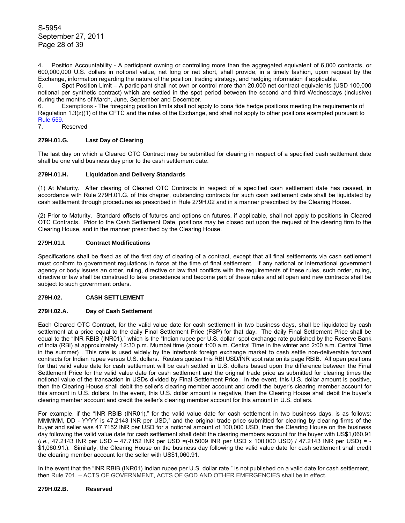S-5954 September 27, 2011 Page 28 of 39

4. Position Accountability - A participant owning or controlling more than the aggregated equivalent of 6,000 contracts, or 600,000,000 U.S. dollars in notional value, net long or net short, shall provide, in a timely fashion, upon request by the Exchange, information regarding the nature of the position, trading strategy, and hedging information if applicable.

5. Spot Position Limit – A participant shall not own or control more than 20,000 net contract equivalents (USD 100,000 notional per synthetic contract) which are settled in the spot period between the second and third Wednesdays (inclusive) during the months of March, June, September and December.

6. Exemptions - The foregoing position limits shall not apply to bona fide hedge positions meeting the requirements of Regulation 1.3(z)(1) of the CFTC and the rules of the Exchange, and shall not apply to other positions exempted pursuant to Rule 559.

7. Reserved

## **279H.01.G. Last Day of Clearing**

The last day on which a Cleared OTC Contract may be submitted for clearing in respect of a specified cash settlement date shall be one valid business day prior to the cash settlement date.

### **279H.01.H. Liquidation and Delivery Standards**

(1) At Maturity. After clearing of Cleared OTC Contracts in respect of a specified cash settlement date has ceased, in accordance with Rule 279H.01.G. of this chapter, outstanding contracts for such cash settlement date shall be liquidated by cash settlement through procedures as prescribed in Rule 279H.02 and in a manner prescribed by the Clearing House.

(2) Prior to Maturity. Standard offsets of futures and options on futures, if applicable, shall not apply to positions in Cleared OTC Contracts. Prior to the Cash Settlement Date, positions may be closed out upon the request of the clearing firm to the Clearing House, and in the manner prescribed by the Clearing House.

# **279H.01.I. Contract Modifications**

Specifications shall be fixed as of the first day of clearing of a contract, except that all final settlements via cash settlement must conform to government regulations in force at the time of final settlement. If any national or international government agency or body issues an order, ruling, directive or law that conflicts with the requirements of these rules, such order, ruling, directive or law shall be construed to take precedence and become part of these rules and all open and new contracts shall be subject to such government orders.

# **279H.02. CASH SETTLEMENT**

## **279H.02.A. Day of Cash Settlement**

Each Cleared OTC Contract, for the valid value date for cash settlement in two business days, shall be liquidated by cash settlement at a price equal to the daily Final Settlement Price (FSP) for that day. The daily Final Settlement Price shall be equal to the "INR RBIB (INR01)," which is the "Indian rupee per U.S. dollar" spot exchange rate published by the Reserve Bank of India (RBI) at approximately 12:30 p.m. Mumbai time (about 1:00 a.m. Central Time in the winter and 2:00 a.m. Central Time in the summer) . This rate is used widely by the interbank foreign exchange market to cash settle non-deliverable forward contracts for Indian rupee versus U.S. dollars. Reuters quotes this RBI USD/INR spot rate on its page RBIB. All open positions for that valid value date for cash settlement will be cash settled in U.S. dollars based upon the difference between the Final Settlement Price for the valid value date for cash settlement and the original trade price as submitted for clearing times the notional value of the transaction in USDs divided by Final Settlement Price. In the event, this U.S. dollar amount is positive, then the Clearing House shall debit the seller's clearing member account and credit the buyer's clearing member account for this amount in U.S. dollars. In the event, this U.S. dollar amount is negative, then the Clearing House shall debit the buyer's clearing member account and credit the seller's clearing member account for this amount in U.S. dollars.

For example, if the "INR RBIB (INR01)," for the valid value date for cash settlement in two business days, is as follows: MMMMM, DD - YYYY is 47.2143 INR per USD," and the original trade price submitted for clearing by clearing firms of the buyer and seller was 47.7152 INR per USD for a notional amount of 100,000 USD, then the Clearing House on the business day following the valid value date for cash settlement shall debit the clearing members account for the buyer with US\$1,060.91 (*i.e.*, 47.2143 INR per USD – 47.7152 INR per USD =(-0.5009 INR per USD x 100,000 USD) / 47.2143 INR per USD) = - \$1,060.91.). Similarly, the Clearing House on the business day following the valid value date for cash settlement shall credit the clearing member account for the seller with US\$1,060.91.

In the event that the "INR RBIB (INR01) Indian rupee per U.S. dollar rate," is not published on a valid date for cash settlement, then Rule 701. – ACTS OF GOVERNMENT, ACTS OF GOD AND OTHER EMERGENCIES shall be in effect.

### **279H.02.B. Reserved**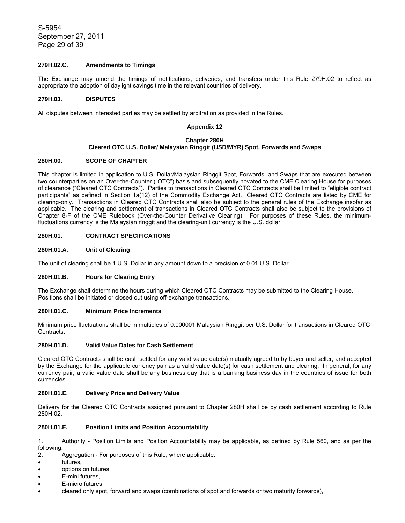S-5954 September 27, 2011 Page 29 of 39

# **279H.02.C. Amendments to Timings**

The Exchange may amend the timings of notifications, deliveries, and transfers under this Rule 279H.02 to reflect as appropriate the adoption of daylight savings time in the relevant countries of delivery.

### **279H.03. DISPUTES**

All disputes between interested parties may be settled by arbitration as provided in the Rules.

### **Appendix 12**

#### **Chapter 280H**

### **Cleared OTC U.S. Dollar/ Malaysian Ringgit (USD/MYR) Spot, Forwards and Swaps**

### **280H.00. SCOPE OF CHAPTER**

This chapter is limited in application to U.S. Dollar/Malaysian Ringgit Spot, Forwards, and Swaps that are executed between two counterparties on an Over-the-Counter ("OTC") basis and subsequently novated to the CME Clearing House for purposes of clearance ("Cleared OTC Contracts"). Parties to transactions in Cleared OTC Contracts shall be limited to "eligible contract participants" as defined in Section 1a(12) of the Commodity Exchange Act. Cleared OTC Contracts are listed by CME for clearing-only. Transactions in Cleared OTC Contracts shall also be subject to the general rules of the Exchange insofar as applicable. The clearing and settlement of transactions in Cleared OTC Contracts shall also be subject to the provisions of Chapter 8-F of the CME Rulebook (Over-the-Counter Derivative Clearing). For purposes of these Rules, the minimumfluctuations currency is the Malaysian ringgit and the clearing-unit currency is the U.S. dollar.

## **280H.01. CONTRACT SPECIFICATIONS**

### **280H.01.A. Unit of Clearing**

The unit of clearing shall be 1 U.S. Dollar in any amount down to a precision of 0.01 U.S. Dollar.

### **280H.01.B. Hours for Clearing Entry**

The Exchange shall determine the hours during which Cleared OTC Contracts may be submitted to the Clearing House. Positions shall be initiated or closed out using off-exchange transactions.

#### **280H.01.C. Minimum Price Increments**

Minimum price fluctuations shall be in multiples of 0.000001 Malaysian Ringgit per U.S. Dollar for transactions in Cleared OTC Contracts.

# **280H.01.D. Valid Value Dates for Cash Settlement**

Cleared OTC Contracts shall be cash settled for any valid value date(s) mutually agreed to by buyer and seller, and accepted by the Exchange for the applicable currency pair as a valid value date(s) for cash settlement and clearing. In general, for any currency pair, a valid value date shall be any business day that is a banking business day in the countries of issue for both currencies.

### **280H.01.E. Delivery Price and Delivery Value**

Delivery for the Cleared OTC Contracts assigned pursuant to Chapter 280H shall be by cash settlement according to Rule 280H.02.

#### **280H.01.F. Position Limits and Position Accountability**

1. Authority - Position Limits and Position Accountability may be applicable, as defined by Rule 560, and as per the following.

- 2. Aggregation For purposes of this Rule, where applicable:
- futures,
- options on futures,
- E-mini futures.
- E-micro futures,
- cleared only spot, forward and swaps (combinations of spot and forwards or two maturity forwards),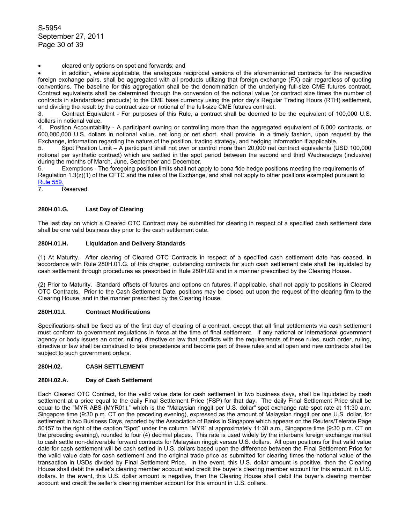• cleared only options on spot and forwards; and

• in addition, where applicable, the analogous reciprocal versions of the aforementioned contracts for the respective foreign exchange pairs, shall be aggregated with all products utilizing that foreign exchange (FX) pair regardless of quoting conventions. The baseline for this aggregation shall be the denomination of the underlying full-size CME futures contract. Contract equivalents shall be determined through the conversion of the notional value (or contract size times the number of contracts in standardized products) to the CME base currency using the prior day's Regular Trading Hours (RTH) settlement, and dividing the result by the contract size or notional of the full-size CME futures contract.

3. Contract Equivalent - For purposes of this Rule, a contract shall be deemed to be the equivalent of 100,000 U.S. dollars in notional value.

4. Position Accountability - A participant owning or controlling more than the aggregated equivalent of 6,000 contracts, or 600,000,000 U.S. dollars in notional value, net long or net short, shall provide, in a timely fashion, upon request by the Exchange, information regarding the nature of the position, trading strategy, and hedging information if applicable.

5. Spot Position Limit – A participant shall not own or control more than 20,000 net contract equivalents (USD 100,000 notional per synthetic contract) which are settled in the spot period between the second and third Wednesdays (inclusive) during the months of March, June, September and December.

6. Exemptions - The foregoing position limits shall not apply to bona fide hedge positions meeting the requirements of Regulation 1.3(z)(1) of the CFTC and the rules of the Exchange, and shall not apply to other positions exempted pursuant to Rule 559.

7. Reserved

# **280H.01.G. Last Day of Clearing**

The last day on which a Cleared OTC Contract may be submitted for clearing in respect of a specified cash settlement date shall be one valid business day prior to the cash settlement date.

## **280H.01.H. Liquidation and Delivery Standards**

(1) At Maturity. After clearing of Cleared OTC Contracts in respect of a specified cash settlement date has ceased, in accordance with Rule 280H.01.G. of this chapter, outstanding contracts for such cash settlement date shall be liquidated by cash settlement through procedures as prescribed in Rule 280H.02 and in a manner prescribed by the Clearing House.

(2) Prior to Maturity. Standard offsets of futures and options on futures, if applicable, shall not apply to positions in Cleared OTC Contracts. Prior to the Cash Settlement Date, positions may be closed out upon the request of the clearing firm to the Clearing House, and in the manner prescribed by the Clearing House.

## **280H.01.I. Contract Modifications**

Specifications shall be fixed as of the first day of clearing of a contract, except that all final settlements via cash settlement must conform to government regulations in force at the time of final settlement. If any national or international government agency or body issues an order, ruling, directive or law that conflicts with the requirements of these rules, such order, ruling, directive or law shall be construed to take precedence and become part of these rules and all open and new contracts shall be subject to such government orders.

# **280H.02. CASH SETTLEMENT**

### **280H.02.A. Day of Cash Settlement**

Each Cleared OTC Contract, for the valid value date for cash settlement in two business days, shall be liquidated by cash settlement at a price equal to the daily Final Settlement Price (FSP) for that day. The daily Final Settlement Price shall be equal to the "MYR ABS (MYR01)," which is the "Malaysian ringgit per U.S. dollar" spot exchange rate spot rate at 11:30 a.m. Singapore time (9:30 p.m. CT on the preceding evening), expressed as the amount of Malaysian ringgit per one U.S. dollar, for settlement in two Business Days, reported by the Association of Banks in Singapore which appears on the Reuters/Telerate Page 50157 to the right of the caption "Spot" under the column "MYR" at approximately 11:30 a.m., Singapore time (9:30 p.m. CT on the preceding evening), rounded to four (4) decimal places. This rate is used widely by the interbank foreign exchange market to cash settle non-deliverable forward contracts for Malaysian ringgit versus U.S. dollars. All open positions for that valid value date for cash settlement will be cash settled in U.S. dollars based upon the difference between the Final Settlement Price for the valid value date for cash settlement and the original trade price as submitted for clearing times the notional value of the transaction in USDs divided by Final Settlement Price. In the event, this U.S. dollar amount is positive, then the Clearing House shall debit the seller's clearing member account and credit the buyer's clearing member account for this amount in U.S. dollars. In the event, this U.S. dollar amount is negative, then the Clearing House shall debit the buyer's clearing member account and credit the seller's clearing member account for this amount in U.S. dollars.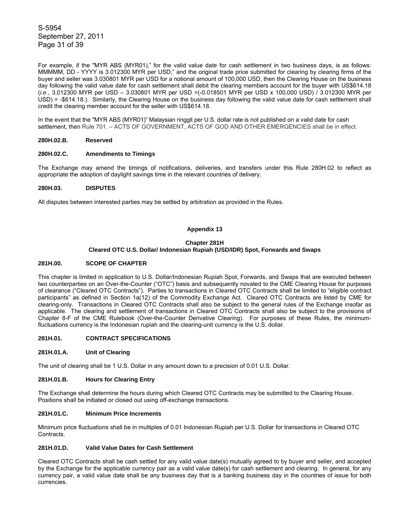S-5954 September 27, 2011 Page 31 of 39

For example, if the "MYR ABS (MYR01)," for the valid value date for cash settlement in two business days, is as follows: MMMMM, DD - YYYY is 3.012300 MYR per USD," and the original trade price submitted for clearing by clearing firms of the buyer and seller was 3.030801 MYR per USD for a notional amount of 100,000 USD, then the Clearing House on the business day following the valid value date for cash settlement shall debit the clearing members account for the buyer with US\$614.18 (*i.e.*, 3.012300 MYR per USD – 3.030801 MYR per USD =(-0.018501 MYR per USD x 100,000 USD) / 3.012300 MYR per USD) = -\$614.18.). Similarly, the Clearing House on the business day following the valid value date for cash settlement shall credit the clearing member account for the seller with US\$614.18.

In the event that the "MYR ABS (MYR01)" Malaysian ringgit per U.S. dollar rate is not published on a valid date for cash settlement, then Rule 701. – ACTS OF GOVERNMENT, ACTS OF GOD AND OTHER EMERGENCIES shall be in effect.

### **280H.02.B. Reserved**

#### **280H.02.C. Amendments to Timings**

The Exchange may amend the timings of notifications, deliveries, and transfers under this Rule 280H.02 to reflect as appropriate the adoption of daylight savings time in the relevant countries of delivery.

### **280H.03. DISPUTES**

All disputes between interested parties may be settled by arbitration as provided in the Rules.

## **Appendix 13**

## **Chapter 281H Cleared OTC U.S. Dollar/ Indonesian Rupiah (USD/IDR) Spot, Forwards and Swaps**

### **281H.00. SCOPE OF CHAPTER**

This chapter is limited in application to U.S. Dollar/Indonesian Rupiah Spot, Forwards, and Swaps that are executed between two counterparties on an Over-the-Counter ("OTC") basis and subsequently novated to the CME Clearing House for purposes of clearance ("Cleared OTC Contracts"). Parties to transactions in Cleared OTC Contracts shall be limited to "eligible contract participants" as defined in Section 1a(12) of the Commodity Exchange Act. Cleared OTC Contracts are listed by CME for clearing-only. Transactions in Cleared OTC Contracts shall also be subject to the general rules of the Exchange insofar as applicable. The clearing and settlement of transactions in Cleared OTC Contracts shall also be subject to the provisions of Chapter 8-F of the CME Rulebook (Over-the-Counter Derivative Clearing). For purposes of these Rules, the minimumfluctuations currency is the Indonesian rupiah and the clearing-unit currency is the U.S. dollar.

### **281H.01. CONTRACT SPECIFICATIONS**

#### **281H.01.A. Unit of Clearing**

The unit of clearing shall be 1 U.S. Dollar in any amount down to a precision of 0.01 U.S. Dollar.

### **281H.01.B. Hours for Clearing Entry**

The Exchange shall determine the hours during which Cleared OTC Contracts may be submitted to the Clearing House. Positions shall be initiated or closed out using off-exchange transactions.

# **281H.01.C. Minimum Price Increments**

Minimum price fluctuations shall be in multiples of 0.01 Indonesian Rupiah per U.S. Dollar for transactions in Cleared OTC Contracts.

### **281H.01.D. Valid Value Dates for Cash Settlement**

Cleared OTC Contracts shall be cash settled for any valid value date(s) mutually agreed to by buyer and seller, and accepted by the Exchange for the applicable currency pair as a valid value date(s) for cash settlement and clearing. In general, for any currency pair, a valid value date shall be any business day that is a banking business day in the countries of issue for both currencies.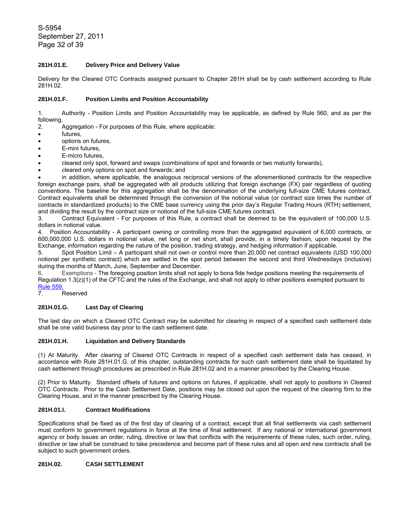S-5954 September 27, 2011 Page 32 of 39

# **281H.01.E. Delivery Price and Delivery Value**

Delivery for the Cleared OTC Contracts assigned pursuant to Chapter 281H shall be by cash settlement according to Rule 281H.02.

## **281H.01.F. Position Limits and Position Accountability**

1. Authority - Position Limits and Position Accountability may be applicable, as defined by Rule 560, and as per the following.

2. Aggregation - For purposes of this Rule, where applicable:

- futures,
- options on futures,
- E-mini futures.
- E-micro futures,
- cleared only spot, forward and swaps (combinations of spot and forwards or two maturity forwards),
- cleared only options on spot and forwards; and

• in addition, where applicable, the analogous reciprocal versions of the aforementioned contracts for the respective foreign exchange pairs, shall be aggregated with all products utilizing that foreign exchange (FX) pair regardless of quoting conventions. The baseline for this aggregation shall be the denomination of the underlying full-size CME futures contract. Contract equivalents shall be determined through the conversion of the notional value (or contract size times the number of contracts in standardized products) to the CME base currency using the prior day's Regular Trading Hours (RTH) settlement, and dividing the result by the contract size or notional of the full-size CME futures contract.

3. Contract Equivalent - For purposes of this Rule, a contract shall be deemed to be the equivalent of 100,000 U.S. dollars in notional value.

4. Position Accountability - A participant owning or controlling more than the aggregated equivalent of 6,000 contracts, or 600,000,000 U.S. dollars in notional value, net long or net short, shall provide, in a timely fashion, upon request by the Exchange, information regarding the nature of the position, trading strategy, and hedging information if applicable.

5. Spot Position Limit – A participant shall not own or control more than 20,000 net contract equivalents (USD 100,000 notional per synthetic contract) which are settled in the spot period between the second and third Wednesdays (inclusive) during the months of March, June, September and December.

6. Exemptions - The foregoing position limits shall not apply to bona fide hedge positions meeting the requirements of Regulation 1.3(z)(1) of the CFTC and the rules of the Exchange, and shall not apply to other positions exempted pursuant to Rule 559

**Reserved** 

# **281H.01.G. Last Day of Clearing**

The last day on which a Cleared OTC Contract may be submitted for clearing in respect of a specified cash settlement date shall be one valid business day prior to the cash settlement date.

# **281H.01.H. Liquidation and Delivery Standards**

(1) At Maturity. After clearing of Cleared OTC Contracts in respect of a specified cash settlement date has ceased, in accordance with Rule 281H.01.G. of this chapter, outstanding contracts for such cash settlement date shall be liquidated by cash settlement through procedures as prescribed in Rule 281H.02 and in a manner prescribed by the Clearing House.

(2) Prior to Maturity. Standard offsets of futures and options on futures, if applicable, shall not apply to positions in Cleared OTC Contracts. Prior to the Cash Settlement Date, positions may be closed out upon the request of the clearing firm to the Clearing House, and in the manner prescribed by the Clearing House.

## **281H.01.I. Contract Modifications**

Specifications shall be fixed as of the first day of clearing of a contract, except that all final settlements via cash settlement must conform to government regulations in force at the time of final settlement. If any national or international government agency or body issues an order, ruling, directive or law that conflicts with the requirements of these rules, such order, ruling, directive or law shall be construed to take precedence and become part of these rules and all open and new contracts shall be subject to such government orders.

# **281H.02. CASH SETTLEMENT**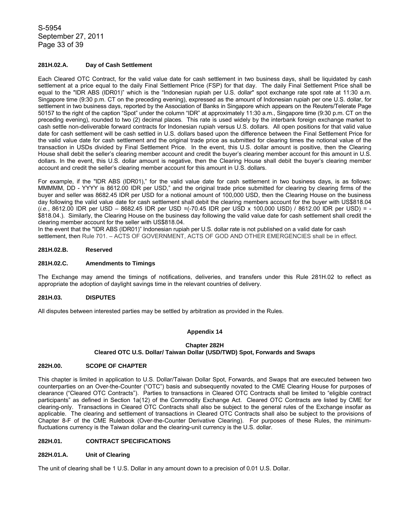S-5954 September 27, 2011 Page 33 of 39

# **281H.02.A. Day of Cash Settlement**

Each Cleared OTC Contract, for the valid value date for cash settlement in two business days, shall be liquidated by cash settlement at a price equal to the daily Final Settlement Price (FSP) for that day. The daily Final Settlement Price shall be equal to the "IDR ABS (IDR01)" which is the "Indonesian rupiah per U.S. dollar" spot exchange rate spot rate at 11:30 a.m. Singapore time (9:30 p.m. CT on the preceding evening), expressed as the amount of Indonesian rupiah per one U.S. dollar, for settlement in two business days, reported by the Association of Banks in Singapore which appears on the Reuters/Telerate Page 50157 to the right of the caption "Spot" under the column "IDR" at approximately 11:30 a.m., Singapore time (9:30 p.m. CT on the preceding evening), rounded to two (2) decimal places. This rate is used widely by the interbank foreign exchange market to cash settle non-deliverable forward contracts for Indonesian rupiah versus U.S. dollars. All open positions for that valid value date for cash settlement will be cash settled in U.S. dollars based upon the difference between the Final Settlement Price for the valid value date for cash settlement and the original trade price as submitted for clearing times the notional value of the transaction in USDs divided by Final Settlement Price. In the event, this U.S. dollar amount is positive, then the Clearing House shall debit the seller's clearing member account and credit the buyer's clearing member account for this amount in U.S. dollars. In the event, this U.S. dollar amount is negative, then the Clearing House shall debit the buyer's clearing member account and credit the seller's clearing member account for this amount in U.S. dollars.

For example, if the "IDR ABS (IDR01)," for the valid value date for cash settlement in two business days, is as follows: MMMMM, DD - YYYY is 8612.00 IDR per USD," and the original trade price submitted for clearing by clearing firms of the buyer and seller was 8682.45 IDR per USD for a notional amount of 100,000 USD, then the Clearing House on the business day following the valid value date for cash settlement shall debit the clearing members account for the buyer with US\$818.04 (*i.e.*, 8612.00 IDR per USD – 8682.45 IDR per USD =(-70.45 IDR per USD x 100,000 USD) / 8612.00 IDR per USD) = - \$818.04.). Similarly, the Clearing House on the business day following the valid value date for cash settlement shall credit the clearing member account for the seller with US\$818.04.

In the event that the "IDR ABS (IDR01)" Indonesian rupiah per U.S. dollar rate is not published on a valid date for cash settlement, then Rule 701. – ACTS OF GOVERNMENT, ACTS OF GOD AND OTHER EMERGENCIES shall be in effect.

#### **281H.02.B. Reserved**

### **281H.02.C. Amendments to Timings**

The Exchange may amend the timings of notifications, deliveries, and transfers under this Rule 281H.02 to reflect as appropriate the adoption of daylight savings time in the relevant countries of delivery.

### **281H.03. DISPUTES**

All disputes between interested parties may be settled by arbitration as provided in the Rules.

### **Appendix 14**

#### **Chapter 282H Cleared OTC U.S. Dollar/ Taiwan Dollar (USD/TWD) Spot, Forwards and Swaps**

### **282H.00. SCOPE OF CHAPTER**

This chapter is limited in application to U.S. Dollar/Taiwan Dollar Spot, Forwards, and Swaps that are executed between two counterparties on an Over-the-Counter ("OTC") basis and subsequently novated to the CME Clearing House for purposes of clearance ("Cleared OTC Contracts"). Parties to transactions in Cleared OTC Contracts shall be limited to "eligible contract participants" as defined in Section 1a(12) of the Commodity Exchange Act. Cleared OTC Contracts are listed by CME for clearing-only. Transactions in Cleared OTC Contracts shall also be subject to the general rules of the Exchange insofar as applicable. The clearing and settlement of transactions in Cleared OTC Contracts shall also be subject to the provisions of Chapter 8-F of the CME Rulebook (Over-the-Counter Derivative Clearing). For purposes of these Rules, the minimumfluctuations currency is the Taiwan dollar and the clearing-unit currency is the U.S. dollar.

#### **282H.01. CONTRACT SPECIFICATIONS**

### **282H.01.A. Unit of Clearing**

The unit of clearing shall be 1 U.S. Dollar in any amount down to a precision of 0.01 U.S. Dollar.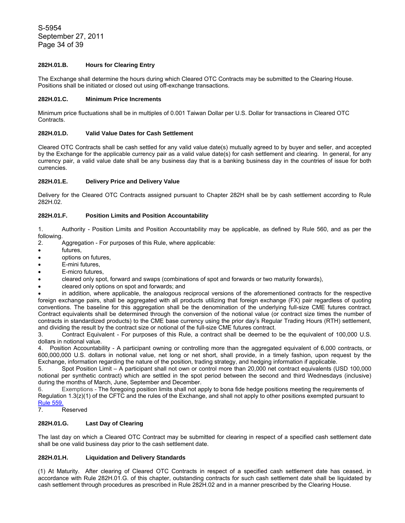# **282H.01.B. Hours for Clearing Entry**

The Exchange shall determine the hours during which Cleared OTC Contracts may be submitted to the Clearing House. Positions shall be initiated or closed out using off-exchange transactions.

### **282H.01.C. Minimum Price Increments**

Minimum price fluctuations shall be in multiples of 0.001 Taiwan Dollar per U.S. Dollar for transactions in Cleared OTC Contracts.

### **282H.01.D. Valid Value Dates for Cash Settlement**

Cleared OTC Contracts shall be cash settled for any valid value date(s) mutually agreed to by buyer and seller, and accepted by the Exchange for the applicable currency pair as a valid value date(s) for cash settlement and clearing. In general, for any currency pair, a valid value date shall be any business day that is a banking business day in the countries of issue for both currencies.

## **282H.01.E. Delivery Price and Delivery Value**

Delivery for the Cleared OTC Contracts assigned pursuant to Chapter 282H shall be by cash settlement according to Rule 282H.02.

# **282H.01.F. Position Limits and Position Accountability**

1. Authority - Position Limits and Position Accountability may be applicable, as defined by Rule 560, and as per the following.

- 2. Aggregation For purposes of this Rule, where applicable:
- futures,
- options on futures,
- E-mini futures,
- E-micro futures.
- cleared only spot, forward and swaps (combinations of spot and forwards or two maturity forwards),
- cleared only options on spot and forwards; and

• in addition, where applicable, the analogous reciprocal versions of the aforementioned contracts for the respective foreign exchange pairs, shall be aggregated with all products utilizing that foreign exchange (FX) pair regardless of quoting conventions. The baseline for this aggregation shall be the denomination of the underlying full-size CME futures contract. Contract equivalents shall be determined through the conversion of the notional value (or contract size times the number of contracts in standardized products) to the CME base currency using the prior day's Regular Trading Hours (RTH) settlement, and dividing the result by the contract size or notional of the full-size CME futures contract.

3. Contract Equivalent - For purposes of this Rule, a contract shall be deemed to be the equivalent of 100,000 U.S. dollars in notional value.

4. Position Accountability - A participant owning or controlling more than the aggregated equivalent of 6,000 contracts, or 600,000,000 U.S. dollars in notional value, net long or net short, shall provide, in a timely fashion, upon request by the Exchange, information regarding the nature of the position, trading strategy, and hedging information if applicable.

5. Spot Position Limit – A participant shall not own or control more than 20,000 net contract equivalents (USD 100,000 notional per synthetic contract) which are settled in the spot period between the second and third Wednesdays (inclusive) during the months of March, June, September and December.

6. Exemptions - The foregoing position limits shall not apply to bona fide hedge positions meeting the requirements of Regulation 1.3(z)(1) of the CFTC and the rules of the Exchange, and shall not apply to other positions exempted pursuant to Rule 559.

7. Reserved

## **282H.01.G. Last Day of Clearing**

The last day on which a Cleared OTC Contract may be submitted for clearing in respect of a specified cash settlement date shall be one valid business day prior to the cash settlement date.

# **282H.01.H. Liquidation and Delivery Standards**

(1) At Maturity. After clearing of Cleared OTC Contracts in respect of a specified cash settlement date has ceased, in accordance with Rule 282H.01.G. of this chapter, outstanding contracts for such cash settlement date shall be liquidated by cash settlement through procedures as prescribed in Rule 282H.02 and in a manner prescribed by the Clearing House.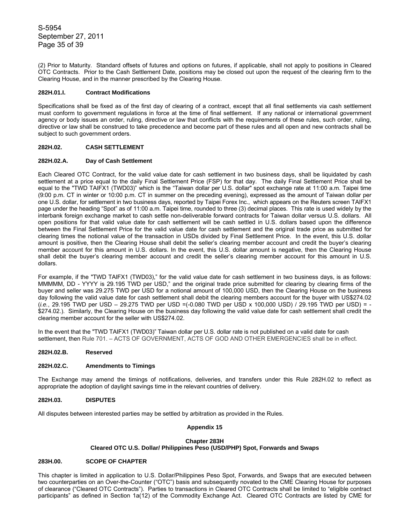S-5954 September 27, 2011 Page 35 of 39

(2) Prior to Maturity. Standard offsets of futures and options on futures, if applicable, shall not apply to positions in Cleared OTC Contracts. Prior to the Cash Settlement Date, positions may be closed out upon the request of the clearing firm to the Clearing House, and in the manner prescribed by the Clearing House.

### **282H.01.I. Contract Modifications**

Specifications shall be fixed as of the first day of clearing of a contract, except that all final settlements via cash settlement must conform to government regulations in force at the time of final settlement. If any national or international government agency or body issues an order, ruling, directive or law that conflicts with the requirements of these rules, such order, ruling, directive or law shall be construed to take precedence and become part of these rules and all open and new contracts shall be subject to such government orders.

### **282H.02. CASH SETTLEMENT**

### **282H.02.A. Day of Cash Settlement**

Each Cleared OTC Contract, for the valid value date for cash settlement in two business days, shall be liquidated by cash settlement at a price equal to the daily Final Settlement Price (FSP) for that day. The daily Final Settlement Price shall be equal to the "TWD TAIFX1 (TWD03)" which is the "Taiwan dollar per U.S. dollar" spot exchange rate at 11:00 a.m. Taipei time (9:00 p.m. CT in winter or 10:00 p.m. CT in summer on the preceding evening), expressed as the amount of Taiwan dollar per one U.S. dollar, for settlement in two business days, reported by Taipei Forex Inc., which appears on the Reuters screen TAIFX1 page under the heading "Spot" as of 11:00 a.m. Taipei time, rounded to three (3) decimal places. This rate is used widely by the interbank foreign exchange market to cash settle non-deliverable forward contracts for Taiwan dollar versus U.S. dollars. All open positions for that valid value date for cash settlement will be cash settled in U.S. dollars based upon the difference between the Final Settlement Price for the valid value date for cash settlement and the original trade price as submitted for clearing times the notional value of the transaction in USDs divided by Final Settlement Price. In the event, this U.S. dollar amount is positive, then the Clearing House shall debit the seller's clearing member account and credit the buyer's clearing member account for this amount in U.S. dollars. In the event, this U.S. dollar amount is negative, then the Clearing House shall debit the buyer's clearing member account and credit the seller's clearing member account for this amount in U.S. dollars.

For example, if the "TWD TAIFX1 (TWD03)," for the valid value date for cash settlement in two business days, is as follows: MMMMM, DD - YYYY is 29.195 TWD per USD," and the original trade price submitted for clearing by clearing firms of the buyer and seller was 29.275 TWD per USD for a notional amount of 100,000 USD, then the Clearing House on the business day following the valid value date for cash settlement shall debit the clearing members account for the buyer with US\$274.02 (*i.e.*, 29.195 TWD per USD – 29.275 TWD per USD =(-0.080 TWD per USD x 100,000 USD) / 29.195 TWD per USD) = - \$274.02.). Similarly, the Clearing House on the business day following the valid value date for cash settlement shall credit the clearing member account for the seller with US\$274.02.

In the event that the "TWD TAIFX1 (TWD03)" Taiwan dollar per U.S. dollar rate is not published on a valid date for cash settlement, then Rule 701. – ACTS OF GOVERNMENT, ACTS OF GOD AND OTHER EMERGENCIES shall be in effect.

#### **282H.02.B. Reserved**

#### **282H.02.C. Amendments to Timings**

The Exchange may amend the timings of notifications, deliveries, and transfers under this Rule 282H.02 to reflect as appropriate the adoption of daylight savings time in the relevant countries of delivery.

#### **282H.03. DISPUTES**

All disputes between interested parties may be settled by arbitration as provided in the Rules.

#### **Appendix 15**

#### **Chapter 283H**

### **Cleared OTC U.S. Dollar/ Philippines Peso (USD/PHP) Spot, Forwards and Swaps**

### **283H.00. SCOPE OF CHAPTER**

This chapter is limited in application to U.S. Dollar/Philippines Peso Spot, Forwards, and Swaps that are executed between two counterparties on an Over-the-Counter ("OTC") basis and subsequently novated to the CME Clearing House for purposes of clearance ("Cleared OTC Contracts"). Parties to transactions in Cleared OTC Contracts shall be limited to "eligible contract participants" as defined in Section 1a(12) of the Commodity Exchange Act. Cleared OTC Contracts are listed by CME for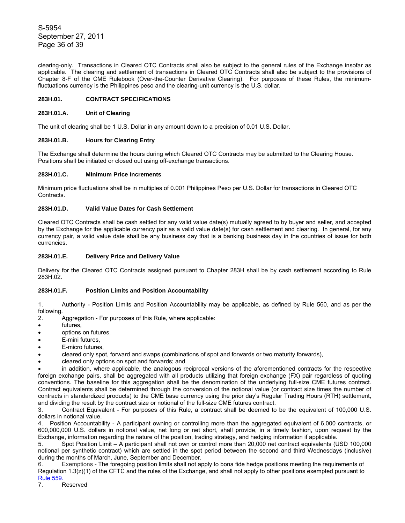S-5954 September 27, 2011 Page 36 of 39

clearing-only. Transactions in Cleared OTC Contracts shall also be subject to the general rules of the Exchange insofar as applicable. The clearing and settlement of transactions in Cleared OTC Contracts shall also be subject to the provisions of Chapter 8-F of the CME Rulebook (Over-the-Counter Derivative Clearing). For purposes of these Rules, the minimumfluctuations currency is the Philippines peso and the clearing-unit currency is the U.S. dollar.

# **283H.01. CONTRACT SPECIFICATIONS**

## **283H.01.A. Unit of Clearing**

The unit of clearing shall be 1 U.S. Dollar in any amount down to a precision of 0.01 U.S. Dollar.

## **283H.01.B. Hours for Clearing Entry**

The Exchange shall determine the hours during which Cleared OTC Contracts may be submitted to the Clearing House. Positions shall be initiated or closed out using off-exchange transactions.

# **283H.01.C. Minimum Price Increments**

Minimum price fluctuations shall be in multiples of 0.001 Philippines Peso per U.S. Dollar for transactions in Cleared OTC Contracts.

## **283H.01.D. Valid Value Dates for Cash Settlement**

Cleared OTC Contracts shall be cash settled for any valid value date(s) mutually agreed to by buyer and seller, and accepted by the Exchange for the applicable currency pair as a valid value date(s) for cash settlement and clearing. In general, for any currency pair, a valid value date shall be any business day that is a banking business day in the countries of issue for both currencies.

# **283H.01.E. Delivery Price and Delivery Value**

Delivery for the Cleared OTC Contracts assigned pursuant to Chapter 283H shall be by cash settlement according to Rule 283H.02.

# **283H.01.F. Position Limits and Position Accountability**

1. Authority - Position Limits and Position Accountability may be applicable, as defined by Rule 560, and as per the following.

- 2. Aggregation For purposes of this Rule, where applicable:
- futures,
- options on futures,
- E-mini futures,
- E-micro futures.
- cleared only spot, forward and swaps (combinations of spot and forwards or two maturity forwards),
- cleared only options on spot and forwards; and

• in addition, where applicable, the analogous reciprocal versions of the aforementioned contracts for the respective foreign exchange pairs, shall be aggregated with all products utilizing that foreign exchange (FX) pair regardless of quoting conventions. The baseline for this aggregation shall be the denomination of the underlying full-size CME futures contract. Contract equivalents shall be determined through the conversion of the notional value (or contract size times the number of contracts in standardized products) to the CME base currency using the prior day's Regular Trading Hours (RTH) settlement, and dividing the result by the contract size or notional of the full-size CME futures contract.

3. Contract Equivalent - For purposes of this Rule, a contract shall be deemed to be the equivalent of 100,000 U.S. dollars in notional value.

4. Position Accountability - A participant owning or controlling more than the aggregated equivalent of 6,000 contracts, or 600,000,000 U.S. dollars in notional value, net long or net short, shall provide, in a timely fashion, upon request by the Exchange, information regarding the nature of the position, trading strategy, and hedging information if applicable.

5. Spot Position Limit – A participant shall not own or control more than 20,000 net contract equivalents (USD 100,000 notional per synthetic contract) which are settled in the spot period between the second and third Wednesdays (inclusive) during the months of March, June, September and December.

6. Exemptions - The foregoing position limits shall not apply to bona fide hedge positions meeting the requirements of Regulation 1.3(z)(1) of the CFTC and the rules of the Exchange, and shall not apply to other positions exempted pursuant to Rule 559.

7. Reserved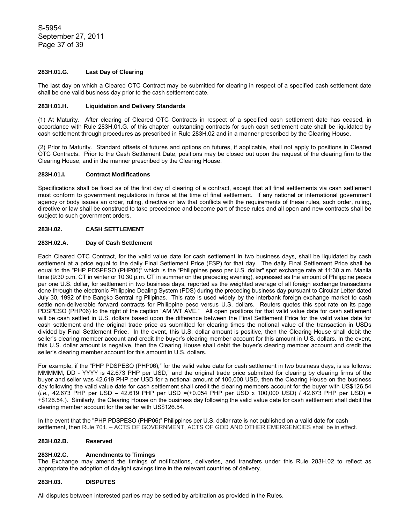S-5954 September 27, 2011 Page 37 of 39

# **283H.01.G. Last Day of Clearing**

The last day on which a Cleared OTC Contract may be submitted for clearing in respect of a specified cash settlement date shall be one valid business day prior to the cash settlement date.

### **283H.01.H. Liquidation and Delivery Standards**

(1) At Maturity. After clearing of Cleared OTC Contracts in respect of a specified cash settlement date has ceased, in accordance with Rule 283H.01.G. of this chapter, outstanding contracts for such cash settlement date shall be liquidated by cash settlement through procedures as prescribed in Rule 283H.02 and in a manner prescribed by the Clearing House.

(2) Prior to Maturity. Standard offsets of futures and options on futures, if applicable, shall not apply to positions in Cleared OTC Contracts. Prior to the Cash Settlement Date, positions may be closed out upon the request of the clearing firm to the Clearing House, and in the manner prescribed by the Clearing House.

### **283H.01.I. Contract Modifications**

Specifications shall be fixed as of the first day of clearing of a contract, except that all final settlements via cash settlement must conform to government regulations in force at the time of final settlement. If any national or international government agency or body issues an order, ruling, directive or law that conflicts with the requirements of these rules, such order, ruling, directive or law shall be construed to take precedence and become part of these rules and all open and new contracts shall be subject to such government orders.

## **283H.02. CASH SETTLEMENT**

# **283H.02.A. Day of Cash Settlement**

Each Cleared OTC Contract, for the valid value date for cash settlement in two business days, shall be liquidated by cash settlement at a price equal to the daily Final Settlement Price (FSP) for that day. The daily Final Settlement Price shall be equal to the "PHP PDSPESO (PHP06)" which is the "Philippines peso per U.S. dollar" spot exchange rate at 11:30 a.m. Manila time (9:30 p.m. CT in winter or 10:30 p.m. CT in summer on the preceding evening), expressed as the amount of Philippine pesos per one U.S. dollar, for settlement in two business days, reported as the weighted average of all foreign exchange transactions done through the electronic Philippine Dealing System (PDS) during the preceding business day pursuant to Circular Letter dated July 30, 1992 of the Bangko Sentral ng Pilipinas. This rate is used widely by the interbank foreign exchange market to cash settle non-deliverable forward contracts for Philippine peso versus U.S. dollars. Reuters quotes this spot rate on its page PDSPESO (PHP06) to the right of the caption "AM WT AVE." All open positions for that valid value date for cash settlement will be cash settled in U.S. dollars based upon the difference between the Final Settlement Price for the valid value date for cash settlement and the original trade price as submitted for clearing times the notional value of the transaction in USDs divided by Final Settlement Price. In the event, this U.S. dollar amount is positive, then the Clearing House shall debit the seller's clearing member account and credit the buyer's clearing member account for this amount in U.S. dollars. In the event, this U.S. dollar amount is negative, then the Clearing House shall debit the buyer's clearing member account and credit the seller's clearing member account for this amount in U.S. dollars.

For example, if the "PHP PDSPESO (PHP06)," for the valid value date for cash settlement in two business days, is as follows: MMMMM, DD - YYYY is 42.673 PHP per USD," and the original trade price submitted for clearing by clearing firms of the buyer and seller was 42.619 PHP per USD for a notional amount of 100,000 USD, then the Clearing House on the business day following the valid value date for cash settlement shall credit the clearing members account for the buyer with US\$126.54 (*i.e.*, 42.673 PHP per USD – 42.619 PHP per USD =(+0.054 PHP per USD x 100,000 USD) / 42.673 PHP per USD) = +\$126.54.). Similarly, the Clearing House on the business day following the valid value date for cash settlement shall debit the clearing member account for the seller with US\$126.54.

In the event that the "PHP PDSPESO (PHP06)" Philippines per U.S. dollar rate is not published on a valid date for cash settlement, then Rule 701. – ACTS OF GOVERNMENT, ACTS OF GOD AND OTHER EMERGENCIES shall be in effect.

#### **283H.02.B. Reserved**

## **283H.02.C. Amendments to Timings**

The Exchange may amend the timings of notifications, deliveries, and transfers under this Rule 283H.02 to reflect as appropriate the adoption of daylight savings time in the relevant countries of delivery.

#### **283H.03. DISPUTES**

All disputes between interested parties may be settled by arbitration as provided in the Rules.